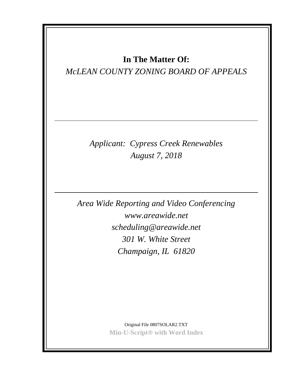# **In The Matter Of:**

## *McLEAN COUNTY ZONING BOARD OF APPEALS*

*Applicant: Cypress Creek Renewables August 7, 2018*

*Area Wide Reporting and Video Conferencing www.areawide.net scheduling@areawide.net 301 W. White Street Champaign, IL 61820*

> Original File 0807SOLAR2.TXT **Min-U-Script® with Word Index**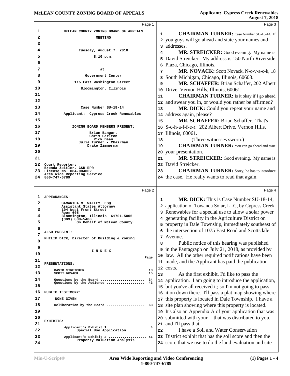|          | Page 1                                                          |    | Page 3                                                                                                           |
|----------|-----------------------------------------------------------------|----|------------------------------------------------------------------------------------------------------------------|
| 1        | MCLEAN COUNTY ZONING BOARD OF APPEALS                           | 1  | <b>CHAIRMAN TURNER:</b> Case Number SU-18-14. If                                                                 |
| 2        | <b>MEETING</b>                                                  |    | 2 you guys will go ahead and state your names and                                                                |
| 3        |                                                                 |    | 3 addresses.                                                                                                     |
| 4        | Tuesday, August 7, 2018                                         | 4  | MR. STREICKER: Good evening. My name is                                                                          |
| 5        | $8:10$ p.m.                                                     |    | 5 David Streicker. My address is 150 North Riverside                                                             |
| 6        |                                                                 | 6  | Plaza, Chicago, Illinois.                                                                                        |
| 7        | at                                                              | 7  | MR. NOVACK: Scott Novack, N-o-v-a-c-k, 18                                                                        |
| 8        | Government Center                                               | 8  | South Michigan, Chicago, Illinois, 60603.                                                                        |
| 9        | 115 East Washington Street                                      | 9  | MR. SCHAFFER: Brian Schaffer, 202 Albert                                                                         |
| 10       | Bloomington, Illinois                                           | 10 | Drive, Vernon Hills, Illinois, 60061.                                                                            |
| 11       |                                                                 | 11 | <b>CHAIRMAN TURNER:</b> Is it okay if I go ahead                                                                 |
| 12       |                                                                 | 12 | and swear you in, or would you rather be affirmed?                                                               |
| 13       | Case Number SU-18-14                                            | 13 | MR. DICK: Could you repeat your name and                                                                         |
| 14       | Applicant: Cypress Creek Renewables                             | 14 | address again, please?                                                                                           |
| 15       |                                                                 | 15 | <b>MR. SCHAFFER: Brian Schaffer. That's</b>                                                                      |
| 16       | ZONING BOARD MEMBERS PRESENT:                                   | 16 | S-c-h-a-f-f-e-r. 202 Albert Drive, Vernon Hills,                                                                 |
| 17       | Brian Bangert                                                   |    | 17 Illinois, 60061.                                                                                              |
| 18       | Chris Carlton<br>Rick Dean                                      | 18 | (Three witnesses sworn.)                                                                                         |
| 19       | Julia Turner - Chairman<br>Drake Zimmerman                      | 19 | <b>CHAIRMAN TURNER:</b> You can go ahead and start                                                               |
| 20       |                                                                 | 20 | your presentation.                                                                                               |
| 21       |                                                                 | 21 | MR. STREICKER: Good evening. My name is                                                                          |
| 22       | Court Reporter:                                                 | 22 | David Streicker.                                                                                                 |
| 23       | Brenda Zeitler, CSR-RPR<br>License No. 084-004062               | 23 | <b>CHAIRMAN TURNER:</b> Sorry, he has to introduce                                                               |
|          | Area Wide Reporting Service<br>24 800-747-6789                  |    | 24 the case. He really wants to read that again.                                                                 |
|          |                                                                 |    |                                                                                                                  |
|          |                                                                 |    |                                                                                                                  |
|          | Page 2                                                          |    | Page 4                                                                                                           |
| ı        | <b>APPEARANCES:</b>                                             | 1  |                                                                                                                  |
| 2        | SAMANTHA M. WALLEY, ESQ.<br>Assistant States Attorney           |    | <b>MR. DICK:</b> This is Case Number SU-18-14,<br>2 application of Towanda Solar, LLC, by Cypress Creek          |
| з        | 104 West Front Street<br>Room 605                               |    | 3 Renewables for a special use to allow a solar power                                                            |
| 4        | Bloomington, Illinois 61701-5005<br>$(309)$ 888-5400            |    |                                                                                                                  |
| 5        | On Behalf of McLean County.                                     |    | 4 generating facility in the Agriculture District on<br>5 property in Dale Township, immediately southeast of    |
| 6        | ALSO PRESENT:                                                   |    | 6 the intersection of 1075 East Road and Scottsdale                                                              |
| 7        | PHILIP DICK, Director of Building & Zoning                      |    | 7 Avenue.                                                                                                        |
| 8        |                                                                 | 8  | Public notice of this hearing was published                                                                      |
| 9        | INDEX                                                           |    | 9 in the Pantagraph on July 21, 2018, as provided by                                                             |
| 10       | Page                                                            |    | 10 law. All the other required notifications have been                                                           |
| 11       | PRESENTATIONS:                                                  |    | 11 made, and the Applicant has paid the publication                                                              |
| 12       | DAVID STREICKER<br>13                                           |    | 12 costs.                                                                                                        |
| 13       | SCOTT NOVACK<br>15                                              | 13 | As the first exhibit, I'd like to pass the                                                                       |
| 14       | Questions by the Board<br>34<br>Questions by the Audience<br>43 |    | 14 application. I am going to introduce the application,                                                         |
| 15       |                                                                 |    | 15 but you've all received it; so I'm not going to pass                                                          |
| 16       | PUBLIC TESTIMONY:                                               | 16 | it on down there. I'll pass a plat map showing where                                                             |
| 17       | <b>NONE GIVEN</b>                                               | 17 | this property is located in Dale Township. I have a                                                              |
| 18       | Deliberation by the Board<br>63                                 | 18 | site plan showing where this property is located.                                                                |
| 19       |                                                                 | 19 | It's also an Appendix A of your application that was                                                             |
| 20       | EXHIBITS:                                                       | 20 | submitted with your -- that was distributed to you,                                                              |
| 21       | Applicant's Exhibit 1<br>4                                      | 21 | and I'll pass that.                                                                                              |
| 22       | Special Use Application                                         | 22 | I have a Soil and Water Conservation                                                                             |
| 23<br>24 | Applicant's Exhibit 2  51<br>Property Valuation Analysis        | 23 | District exhibit that has the soil score and then the<br>24 score that we use to do the land evaluation and site |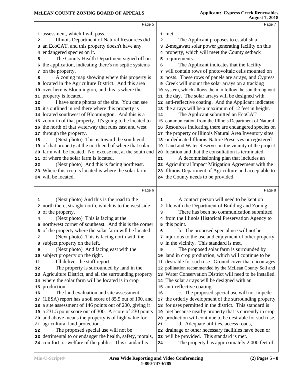|    | Page 5                                                                                                           |              | Page 7                                                                                          |
|----|------------------------------------------------------------------------------------------------------------------|--------------|-------------------------------------------------------------------------------------------------|
|    | 1 assessment, which I will pass.                                                                                 |              | 1 met.                                                                                          |
| 2  | Illinois Department of Natural Resources did                                                                     | $\mathbf{2}$ | The Applicant proposes to establish a                                                           |
| 3  | an EcoCAT, and this property doesn't have any                                                                    |              | 3 2-megawatt solar power generating facility on this                                            |
| 4  | endangered species on it.                                                                                        |              | 4 property, which will meet the County setback                                                  |
| 5  | The County Health Department signed off on                                                                       |              | 5 requirements.                                                                                 |
| 6  | the application, indicating there's no septic systems                                                            | 6            | The Applicant indicates that the facility                                                       |
|    | 7 on the property.                                                                                               |              | 7 will contain rows of photovoltaic cells mounted on                                            |
| 8  | A zoning map showing where this property is                                                                      |              | 8 posts. These rows of panels are arrays, and Cypress                                           |
| 9  | located in the Agriculture District. And this area                                                               |              | 9 Creek will mount the solar arrays on a tracking                                               |
|    | 10 over here is Bloomington, and this is where the                                                               |              | 10 system, which allows them to follow the sun throughout                                       |
|    | 11 property is located.                                                                                          |              | 11 the day. The solar arrays will be designed with                                              |
| 12 | I have some photos of the site. You can see                                                                      |              | 12 anti-reflective coating. And the Applicant indicates                                         |
|    | 13 it's outlined in red there where this property is                                                             |              | 13 the arrays will be a maximum of 12 feet in height.                                           |
|    | 14 located southwest of Bloomington. And this is a                                                               | 14           | The Applicant submitted an EcoCAT                                                               |
|    | 15 zoom-in of that property. It's going to be located to                                                         |              | 15 communication from the Illinois Department of Natural                                        |
|    | 16 the north of that waterway that runs east and west                                                            |              | 16 Resources indicating there are endangered species on                                         |
| 17 | through the property.                                                                                            |              | 17 the property or Illinois Natural Area Inventory sites                                        |
| 18 | (Next photo) This is toward the south end                                                                        |              | 18 or dedicated Illinois Nature Preserves or registered                                         |
| 19 | of that property at the north end of where that solar                                                            |              | 19 Land and Water Reserves in the vicinity of the project                                       |
| 20 | farm will be located. No, excuse me, at the south end                                                            |              | 20 location and that the consultation is terminated.                                            |
|    | 21 of where the solar farm is located.                                                                           | 21           | A decommissioning plan that includes an                                                         |
| 22 | (Next photo) And this is facing northeast.                                                                       |              | 22 Agricultural Impact Mitigation Agreement with the                                            |
|    | 23 Where this crop is located is where the solar farm                                                            |              | 23 Illinois Department of Agriculture and acceptable to                                         |
|    | 24 will be located.                                                                                              |              | 24 the County needs to be provided.                                                             |
|    |                                                                                                                  |              |                                                                                                 |
|    |                                                                                                                  |              |                                                                                                 |
|    | Page 6                                                                                                           |              | Page 8                                                                                          |
| 1  |                                                                                                                  | 1            |                                                                                                 |
|    | (Next photo) And this is the road to the                                                                         |              | A contact person will need to be kept on                                                        |
| 3  | 2 north there, straight north, which is to the west side                                                         | 3            | 2 file with the Department of Building and Zoning.<br>There has been no communication submitted |
| 4  | of the property.                                                                                                 |              |                                                                                                 |
| 5. | (Next photo) This is facing at the<br>northwest corner of southeast. And this is the corner                      |              | 4 from the Illinois Historical Preservation Agency to<br>5 this point.                          |
|    | 6 of the property where the solar farm will be located.                                                          | 6            | b. The proposed special use will not be                                                         |
| 7  | (Next photo) This is facing north with the                                                                       |              | 7 injurious to the use and enjoyment of other property                                          |
| 8  | subject property on the left.                                                                                    |              | 8 in the vicinity. This standard is met.                                                        |
| 9  | (Next photo) And facing east with the                                                                            | 9            | The proposed solar farm is surrounded by                                                        |
| 10 | subject property on the right.                                                                                   |              | 10 land in crop production, which will continue to be                                           |
| 11 | I'll deliver the staff report.                                                                                   |              | 11 desirable for such use. Ground cover that encourages                                         |
| 12 | The property is surrounded by land in the                                                                        |              | 12 pollination recommended by the McLean County Soil and                                        |
| 13 | Agriculture District, and all the surrounding property                                                           |              | 13 Water Conservation District will need to be installed.                                       |
| 14 | where the solar farm will be located is in crop                                                                  |              | 14 The solar arrays will be designed with an                                                    |
|    | 15 production.                                                                                                   |              | 15 anti-reflective coating.                                                                     |
| 16 | The land evaluation and site assessment,                                                                         | 16           | c. The proposed special use will not impede                                                     |
| 17 | (LESA) report has a soil score of 85.5 out of 100, and                                                           |              | 17 the orderly development of the surrounding property                                          |
| 18 | a site assessment of 146 points out of 200, giving it                                                            |              | 18 for uses permitted in the district. This standard is                                         |
| 19 | a 231.5 point score out of 300. A score of 230 points                                                            |              | 19 met because nearby property that is currently in crop                                        |
| 20 | and above means the property is of high value for                                                                |              | 20 production will continue to be desirable for such use.                                       |
| 21 | agricultural land protection.                                                                                    | 21           | d. Adequate utilities, access roads,                                                            |
| 22 | The proposed special use will not be                                                                             | 22           | drainage or other necessary facilities have been or                                             |
| 23 | detrimental to or endanger the health, safety, morals,<br>24 comfort, or welfare of the public. This standard is | 23<br>24     | will be provided. This standard is met.<br>The property has approximately 2,000 feet of         |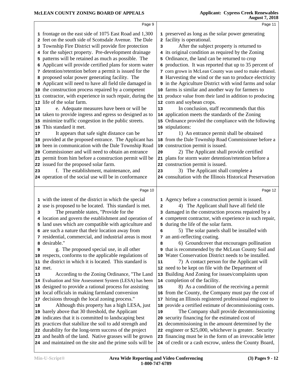|          | Page 9                                                    |    | Page 11                                                   |
|----------|-----------------------------------------------------------|----|-----------------------------------------------------------|
|          | 1 frontage on the east side of 1075 East Road and 1,300   |    | 1 preserved as long as the solar power generating         |
|          | 2 feet on the south side of Scottsdale Avenue. The Dale   |    | 2 facility is operational.                                |
|          | 3 Township Fire District will provide fire protection     | 3  | After the subject property is returned to                 |
|          | 4 for the subject property. Pre-development drainage      |    | 4 its original condition as required by the Zoning        |
| 5        | patterns will be retained as much as possible. The        |    | 5 Ordinance, the land can be returned to crop             |
| 6        | Applicant will provide certified plans for storm water    |    | 6 production. It was reported that up to 35 percent of    |
|          | 7 detention/retention before a permit is issued for the   |    | 7 corn grown in McLean County was used to make ethanol.   |
|          | proposed solar power generating facility. The             |    | 8 Harvesting the wind or the sun to produce electricity   |
| 8        | Applicant will need to have all field tile damaged in     |    | 9 in the Agriculture District with wind farms and solar   |
|          | 10 the construction process repaired by a competent       |    | 10 farms is similar and another way for farmers to        |
|          | 11 contractor, with experience in such repair, during the |    | 11 produce value from their land in addition to producing |
|          | 12 life of the solar farm.                                |    | 12 corn and soybean crops.                                |
| 13       | e. Adequate measures have been or will be                 | 13 | In conclusion, staff recommends that this                 |
|          | 14 taken to provide ingress and egress so designed as to  |    | 14 application meets the standards of the Zoning          |
|          | 15 minimize traffic congestion in the public streets.     |    | 15 Ordinance provided the compliance with the following   |
|          | This standard it met.                                     |    | 16 stipulations:                                          |
| 16       | It appears that safe sight distance can be                |    | 1) An entrance permit shall be obtained                   |
| 17       | provided at the proposed entrance. The Applicant has      | 17 | 18 from the Dale Township Road Commissioner before a      |
| 18       | been in communication with the Dale Township Road         |    | 19 construction permit is issued.                         |
| 19<br>20 | Commissioner and will need to obtain an entrance          | 20 | 2) The Applicant shall provide certified                  |
| 21       | permit from him before a construction permit will be      |    | 21 plans for storm water detention/retention before a     |
| 22       | issued for the proposed solar farm.                       |    | 22 construction permit is issued.                         |
| 23       | f. The establishment, maintenance, and                    | 23 | 3) The Applicant shall complete a                         |
|          | 24 operation of the social use will be in conformance     |    | 24 consultation with the Illinois Historical Preservation |
|          |                                                           |    |                                                           |
|          | Page 10                                                   |    | Page 12                                                   |
|          | 1 with the intent of the district in which the special    |    | 1 Agency before a construction permit is issued.          |
|          | 2 use is proposed to be located. This standard is met.    | 2  | 4) The Applicant shall have all field tile                |
|          |                                                           |    |                                                           |
| 3        | The preamble states, "Provide for the                     |    | 3 damaged in the construction process repaired by a       |
|          | 4 location and govern the establishment and operation of  |    | 4 competent contractor, with experience in such repair,   |
|          | 5 land uses which are compatible with agriculture and     |    | 5 during the life of the solar farm.                      |
|          | 6 are such a nature that their location away from         | 6  | 5) The solar panels shall be installed with               |
|          | 7 residential, commercial, and industrial areas is most   |    | 7 an anti-reflecting coating.                             |
| 8        | desirable."                                               | 8  | 6) Groundcover that encourages pollination                |
| 9        | g. The proposed special use, in all other                 |    | 9 that is recommended by the McLean County Soil and       |
|          | 10 respects, conforms to the applicable regulations of    | 10 | Water Conservation District needs to be installed.        |
|          | 11 the district in which it is located. This standard is  | 11 | 7) A contact person for the Applicant will                |
|          | 12 met.                                                   |    | 12 need to be kept on file with the Department of         |
| 13       | According to the Zoning Ordinance, "The Land              |    | 13 Building And Zoning for issues/complaints upon         |
|          | 14 Evaluation and Site Assessment System (LESA) has been  |    | 14 completion of the facility.                            |
| 15       | designed to provide a rational process for assisting      | 15 | 8) As a condition of the receiving a permit               |
| 16       | local officials in making farmland conversion             |    | 16 from the County, the Company must pay the cost of      |
| 17       | decisions through the local zoning process."              |    | 17 hiring an Illinois registered professional engineer to |
| 18       | Although this property has a high LESA, just              | 18 | provide a certified estimate of decommissioning costs.    |
| 19       | barely above that 30 threshold, the Applicant             | 19 | The Company shall provide decommissioning                 |
| 20       | indicates that it is committed to landscaping best        | 20 | security financing for the estimated cost of              |
| 21       | practices that stabilize the soil to add strength and     | 21 | decommissioning in the amount determined by the           |
|          | 22 durability for the long-term success of the project    |    | 22 engineer or \$25,000, whichever is greater. Security   |
| 23       | and health of the land. Native grasses will be grown      |    | 23 financing must be in the form of an irrevocable letter |
|          | 24 and maintained on the site and the prime soils will be |    | 24 of credit or a cash escrow, unless the County Board,   |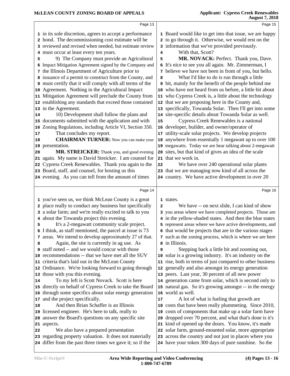Page 13 in its sole discretion, agrees to accept a performance bond. The decommissioning cost estimate will be reviewed and revised when needed, but estimate review must occur at least every ten years. 9) The Company must provide an Agricultural 5 Impact Mitigation Agreement signed by the Company and the Illinois Department of Agriculture prior to issuance of a permit to construct from the County, and must certify that it will comply with all terms of the Agreement. Nothing in the Agricultural Impact Mitigation Agreement will preclude the County from | **11**  establishing any standards that exceed those contained | **12**  in the Agreement. 10) Development shall follow the plans and documents submitted with the application and with 15 Zoning Regulations, including Article VI, Section 350. That concludes my report. **CHAIRMAN TURNER:** Now you can make your 18 presentation. MR. STREICKER: Thank you, and good evening 20 again. My name is David Streicker. I am counsel for 21 Cypress Creek Renewables. Thank you again to the Board, staff, and counsel, for hosting us this evening. As you can tell from the amount of times Page 14 you've seen us, we think McLean County is a great place really to conduct any business but specifically 2 a solar farm; and we're really excited to talk to you about the Towanda project this evening. It's a 2-megawatt community scale project. I think, as staff mentioned, the parcel at issue is 73 areas. We intend to develop approximately 27 of that. Again, the site is currently in ag use. As staff noted -- and we would concur with those recommendations -- that we have met all the SUV criteria that's laid out in the McLean County Ordinance. We're looking forward to going through 12 those with you this evening. 14 To my left is Scott Novack. Scott is here | 14 directly on behalf of Cypress Creek to take the Board through some specifics about solar energy generation 16 and the project specifically. And then Brian Schaffer is an Illinois licensed engineer. He's here to talk, really to answer the Board's questions on any specific site aspects. We also have a prepared presentation regarding property valuation. It does not materially differ from the past three times we gave it; so if the Page 15 Board would like to get into that issue, we are happy to go through it. Otherwise, we would rest on the information that we've provided previously. With that, Scott? **MR. NOVACK: Perfect. Thank you, Dave.** It's nice to see you all again. Mr. Zimmerman, I believe we have not been in front of you, but hello. What I'd like to do is run through a little bit, mainly for the benefit of the people behind me who have not heard from us before, a little bit about who Cypress Creek is, a little about the technology that we are proposing here in the County and, specifically, Towanda Solar. Then I'll get into some site-specific details about Towanda Solar as well. Cypress Creek Renewables is a national developer, builder, and owner/operator of utility-scale solar projects. We develop projects anywhere from essentially 1 megawatt up to over 100 megawatts. Today we are hear talking about 2-megawatt sites, but that kind of gives an idea of the scale that we work in. We have over 240 operational solar plants that we are managing now kind of all across the country. We have active development in over 20 Page 16 states. We have -- on next slide. I can kind of show you areas where we have completed projects. Those are in the yellow-shaded states. And then the blue states represent areas where we have active developments, and that would be projects that are in the various stages such as the zoning process, which is where we are here in Illinois. Stepping back a little bit and zooming out, solar is a growing industry. It's an industry on the rise, both in terms of just compared to other business generally and also amongst its energy generation peers. Last year, 30 percent of all new power generation came from solar, which is second only to natural gas. So it's growing amongst -- in the energy world as well. A lot of what is fueling that growth are costs that have been really plummeting. Since 2010, costs of components that make up a solar farm have dropped over 70 percent, and what that's done is it's kind of opened up the doors. You know, it's made solar farm, ground-mounted solar, more appropriate across the country and not just in places where you have your token 300 days of pure sunshine. So the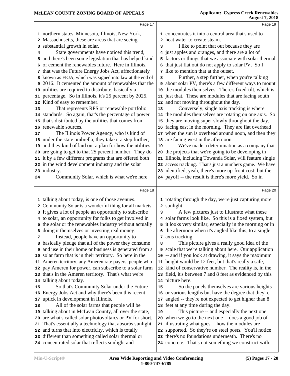|          | Page 17                                                                                                 |                | Page 19                                                                                                  |
|----------|---------------------------------------------------------------------------------------------------------|----------------|----------------------------------------------------------------------------------------------------------|
|          | 1 northern states, Minnesota, Illinois, New York,                                                       |                | 1 concentrates it into a central area that's used to                                                     |
|          | 2 Massachusetts, these are areas that are seeing                                                        | $\overline{a}$ | heat water to create steam.                                                                              |
|          | 3 substantial growth in solar.                                                                          | 3              | I like to point that out because they are                                                                |
| 4        | State governments have noticed this trend,                                                              |                | 4 just apples and oranges, and there are a lot of                                                        |
|          | 5 and there's been some legislation that has helped kind                                                |                | 5 factors or things that we associate with solar thermal                                                 |
|          | 6 of cement the renewables future. Here in Illinois,                                                    |                | 6 that just flat out do not apply to solar PV. So I                                                      |
|          | 7 that was the Future Energy Jobs Act, affectionately                                                   |                | 7 like to mention that at the outset.                                                                    |
|          | 8 known as FEJA, which was signed into law at the end of                                                | 8              | Further, a step further, when you're talking                                                             |
|          | 2016. It cemented the amount of renewables that the                                                     |                | 9 about solar PV, there's a few different ways to mount                                                  |
|          | 10 utilities are required to distribute, basically a                                                    | 10             | the modules themselves. There's fixed-tilt, which is                                                     |
|          | 11 percentage. So in Illinois, it's 25 percent by 2025.                                                 |                | 11 just that. These are modules that are facing south                                                    |
|          | 12 Kind of easy to remember.                                                                            |                | 12 and not moving throughout the day.                                                                    |
| 13       | That represents RPS or renewable portfolio                                                              | 13             | Conversely, single axis tracking is where                                                                |
|          | 14 standards. So again, that's the percentage of power                                                  |                | 14 the modules themselves are rotating on one axis. So                                                   |
|          | 15 that's distributed by the utilities that comes from                                                  |                | 15 they are moving super slowly throughout the day,                                                      |
|          | 16 renewable sources.                                                                                   |                | 16 facing east in the morning. They are flat overhead                                                    |
| 17       | The Illinois Power Agency, who is kind of                                                               | 17             | when the sun is overhead around noon, and then they                                                      |
|          | 18 under the state umbrella, they take it a step further;                                               | 18             | are facing west in the afternoon.                                                                        |
|          | and they kind of laid out a plan for how the utilities                                                  | 19             | We've made a determination as a company that                                                             |
|          | 20 are going to get to that 25 percent number. They do                                                  | 20             | the projects that we're going to be developing in                                                        |
|          | 21 it by a few different programs that are offered both                                                 | 21             | Illinois, including Towanda Solar, will feature single                                                   |
|          | 22 in the wind development industry and the solar                                                       |                | 22 access tracking. That's just a numbers game. We have                                                  |
|          | 23 industry.                                                                                            |                | 23 identified, yeah, there's more up-front cost; but the                                                 |
| 24       | Community Solar, which is what we're here                                                               |                | 24 payoff -- the result is there's more yield. So in                                                     |
|          | Page 18                                                                                                 |                |                                                                                                          |
|          |                                                                                                         |                |                                                                                                          |
|          |                                                                                                         |                | Page 20                                                                                                  |
|          | 1 talking about today, is one of those avenues.                                                         |                | 1 rotating through the day, we're just capturing more                                                    |
|          | 2 Community Solar is a wonderful thing for all markets.                                                 |                | 2 sunlight.                                                                                              |
|          | 3 It gives a lot of people an opportunity to subscribe                                                  | 3              | A few pictures just to illustrate what these                                                             |
|          | 4 to solar, an opportunity for folks to get involved in                                                 |                | 4 solar farms look like. So this is a fixed system, but                                                  |
|          | 5 the solar or the renewables industry without actually                                                 |                | 5 it looks very similar, especially in the morning or in                                                 |
|          | 6 doing it themselves or investing real money.                                                          |                | 6 the afternoon when it's angled like this, to a single                                                  |
| 7        | Instead, people have an opportunity to                                                                  |                | 7 axis tracking.                                                                                         |
|          | 8 basically pledge that all of the power they consume                                                   | 8              | This picture gives a really good idea of the                                                             |
|          | <b>9</b> and use in their home or business is generated from a                                          |                | 9 scale that we're talking about here. Our application                                                   |
|          | 10 solar farm that is in their territory. So here in the                                                |                | 10 -- and if you look at drawing, it says the maximum                                                    |
|          | 11 Ameren territory, any Ameren rate payers, people who                                                 | 11             | height would be 12 feet, but that's really a safe,                                                       |
|          | 12 pay Ameren for power, can subscribe to a solar farm                                                  |                | 12 kind of conservative number. The reality is, in the                                                   |
|          | 13 that's in the Ameren territory. That's what we're                                                    |                | 13 field, it's between 7 and 8 feet as evidenced by this                                                 |
|          | 14 talking about today.                                                                                 | 15             | 14 picture here.                                                                                         |
|          | So that's Community Solar under the Future<br>16 Energy Jobs Act and why there's been this recent       |                | So the panels themselves are various heights<br>16 or various lengths but have the degree that they're   |
|          | 17 uptick in development in Illinois.                                                                   | 17             |                                                                                                          |
| 15<br>18 | All of the solar farms that people will be                                                              |                | angled -- they're not expected to get higher than 8<br>18 feet at any time during the day.               |
|          | 19 talking about in McLean County, all over the state,                                                  | 19             | This picture -- and especially the next one                                                              |
|          | 20 are what's called solar photovoltaics or PV for short.                                               |                | 20 when we go to the next one -- does a good job of                                                      |
|          | 21 That's essentially a technology that absorbs sunlight                                                | 21             | illustrating what goes -- how the modules are                                                            |
|          | 22 and turns that into electricity, which is totally                                                    | 22             | supported. So they're on steel posts. You'll notice                                                      |
|          | 23 different than something called solar thermal or<br>24 concentrated solar that reflects sunlight and |                | 23 there's no foundations underneath. There's no<br>24 concrete. That's not something we construct with. |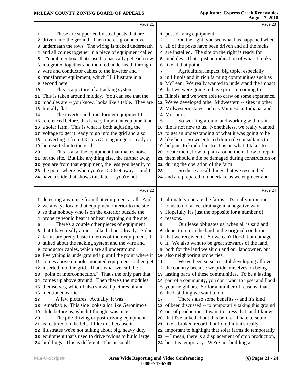|    | Page 21                                                                                                            |                         | Page 23                                                                                                   |  |
|----|--------------------------------------------------------------------------------------------------------------------|-------------------------|-----------------------------------------------------------------------------------------------------------|--|
| 1  | These are supported by steel posts that are                                                                        |                         | 1 post-driving equipment.                                                                                 |  |
|    | 2 driven into the ground. Then there's groundcover                                                                 | $\overline{\mathbf{2}}$ | On the right, you see what has happened when                                                              |  |
|    | 3 underneath the rows. The wiring is tucked underneath                                                             |                         | 3 all of the posts have been driven and all the racks                                                     |  |
|    | 4 and all comes together in a piece of equipment called                                                            |                         | 4 are installed. The site on the right is ready for                                                       |  |
|    | 5 a "combiner box" that's used to basically get each row                                                           |                         | 5 modules. That's just an indication of what it looks                                                     |  |
|    | 6 integrated together and then fed underneath through                                                              |                         | 6 like at that point.                                                                                     |  |
|    | 7 wire and conductor cables to the inverter and                                                                    | 7                       | Agricultural impact, big topic, especially                                                                |  |
|    | 8 transformer equipment, which I'll illustrate in a                                                                |                         | 8 in Illinois and in rich farming communities such as                                                     |  |
|    | 9 second here.                                                                                                     |                         | 9 McLean. We really wanted to understand the impact                                                       |  |
| 10 | This is a picture of a tracking system.                                                                            |                         | 10 that we were going to have prior to coming to                                                          |  |
|    | 11 This is taken around midday. You can see that the                                                               |                         | 11 Illinois, and we were able to draw on some experience.                                                 |  |
|    | 12 modules are -- you know, looks like a table. They are                                                           |                         | 12 We've developed other Midwestern -- sites in other                                                     |  |
|    | 13 literally flat.                                                                                                 |                         | 13 Midwestern states such as Minnesota, Indiana, and                                                      |  |
| 14 | The inverter and transformer equipment I                                                                           |                         | 14 Missouri.                                                                                              |  |
|    | 15 referenced before, this is very important equipment on                                                          | 15                      | So working around and working with drain                                                                  |  |
|    | 16 a solar farm. This is what is both adjusting the                                                                |                         | 16 tile is not new to us. Nonetheless, we really wanted                                                   |  |
|    | 17 voltage to get it ready to go into the grid and also                                                            |                         | 17 to get an understanding of what it was going to be                                                     |  |
|    | 18 converting it from DC to AC to again get it ready to                                                            |                         | 18 like here. So we enlisted drain tile consultants to                                                    |  |
|    | 19 be inserted into the grid.                                                                                      |                         | 19 help us, to kind of instruct us on what it takes to                                                    |  |
| 20 | This is also the equipment that makes noise                                                                        |                         | 20 locate them, how to plan around them, how to repair                                                    |  |
|    | 21 on the site. But like anything else, the further away                                                           |                         | 21 them should a tile be damaged during construction or<br>22 during the operation of the farm.           |  |
|    | 22 you are from that equipment, the less you hear it, to<br>23 the point where, when you're 150 feet away -- and I | 23                      | So these are all things that we researched                                                                |  |
|    | 24 have a slide that shows this later -- you're not                                                                |                         | 24 and are prepared to undertake as we engineer and                                                       |  |
|    |                                                                                                                    |                         |                                                                                                           |  |
|    | Page 22                                                                                                            |                         | Page 24                                                                                                   |  |
|    | 1 detecting any noise from that equipment at all. And                                                              |                         | 1 ultimately operate the farms. It's really important                                                     |  |
|    | 2 we always locate that equipment interior to the site                                                             |                         | 2 to us to not affect drainage in a negative way.                                                         |  |
|    | 3 so that nobody who is on the exterior outside the                                                                |                         | 3 Hopefully it's just the opposite for a number of                                                        |  |
|    | 4 property would hear it or hear anything on the site.                                                             |                         | 4 reasons.                                                                                                |  |
| 5  | There's a couple other pieces of equipment                                                                         | 5                       | Our lease obligates us, when all is said and                                                              |  |
|    | 6 that I have really almost talked about already. Solar                                                            |                         | 6 done, to return the land in the original condition                                                      |  |
|    | 7 farms are pretty basic in terms of their equipment. I                                                            |                         | 7 that we received it. So we can't flood it or damage                                                     |  |
|    |                                                                                                                    |                         |                                                                                                           |  |
|    | 8 talked about the racking system and the wire and                                                                 |                         | 8 it. We also want to be great stewards of the land,                                                      |  |
|    | 9 conductor cables, which are all underground.                                                                     |                         | <b>9</b> both for the land we sit on and our landowner, but                                               |  |
|    | 10 Everything is underground up until the point where it                                                           |                         | 10 also neighboring properties.                                                                           |  |
|    | 11 comes above on pole-mounted equipment to then get                                                               | 11                      | We've been so successful developing all over                                                              |  |
|    | 12 inserted into the grid. That's what we call the                                                                 |                         | 12 the country because we pride ourselves on being                                                        |  |
|    | 13 "point of interconnection." That's the only part that                                                           |                         | 13 lasting parts of these communities. To be a lasting                                                    |  |
|    | 14 comes up above ground. Then there's the modules                                                                 |                         | 14 part of a community, you don't want to upset and flood                                                 |  |
|    | 15 themselves, which I also showed pictures of and                                                                 |                         | 15 your neighbors. So for a number of reasons, that's                                                     |  |
|    | 16 mentioned earlier.                                                                                              |                         | 16 the last thing we want to do.                                                                          |  |
| 17 | A few pictures. Actually, it was                                                                                   | 17                      | There's also some benefits -- and it's kind                                                               |  |
|    | 18 remarkable. This side looks a lot like Geronimo's                                                               |                         | 18 of been discussed -- to temporarily taking this ground                                                 |  |
|    | 19 slide before us, which I thought was nice.                                                                      |                         | 19 out of production. I want to stress that, and I know                                                   |  |
| 20 | The pile-driving or post-driving equipment                                                                         |                         | 20 that I've talked about this before. I hate to sound                                                    |  |
|    | 21 is featured on the left. I like this because it                                                                 |                         | 21 like a broken record, but I do think it's really                                                       |  |
|    | 22 illustrates we're not talking about big, heavy duty                                                             |                         | 22 important to highlight that solar farms do temporarily                                                 |  |
|    | 23 equipment that's used to drive pylons to build large<br>24 buildings. This is different. This is small          |                         | 23 -- I mean, there is a displacement of crop production,<br>24 but it is temporary. We're not building a |  |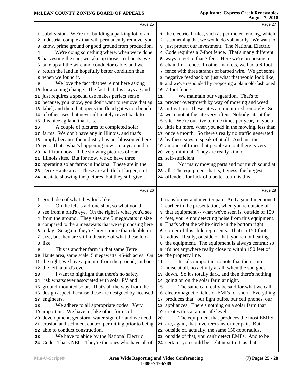|                         | Page 25                                                                                                                                                                                                                                                                                                                                                                                                                                                                                                                                                                                                                                                                                                                                                                                                                                                                                                                                                                                                                                                                                                                                                                                                                                                                                                        |                | Page 27                                                                                                                                                                                                                                                                                                                                                                                                                                                                                                                                                                                                                                                                                                                                                                                                                                                                                                                                                                                                                                                                                                                                                                                                                                                                                                     |
|-------------------------|----------------------------------------------------------------------------------------------------------------------------------------------------------------------------------------------------------------------------------------------------------------------------------------------------------------------------------------------------------------------------------------------------------------------------------------------------------------------------------------------------------------------------------------------------------------------------------------------------------------------------------------------------------------------------------------------------------------------------------------------------------------------------------------------------------------------------------------------------------------------------------------------------------------------------------------------------------------------------------------------------------------------------------------------------------------------------------------------------------------------------------------------------------------------------------------------------------------------------------------------------------------------------------------------------------------|----------------|-------------------------------------------------------------------------------------------------------------------------------------------------------------------------------------------------------------------------------------------------------------------------------------------------------------------------------------------------------------------------------------------------------------------------------------------------------------------------------------------------------------------------------------------------------------------------------------------------------------------------------------------------------------------------------------------------------------------------------------------------------------------------------------------------------------------------------------------------------------------------------------------------------------------------------------------------------------------------------------------------------------------------------------------------------------------------------------------------------------------------------------------------------------------------------------------------------------------------------------------------------------------------------------------------------------|
| 4<br>6<br>9<br>16<br>21 | 1 subdivision. We're not building a parking lot or an<br>2 industrial complex that will permanently remove, you<br>know, prime ground or good ground from production.<br>We're doing something where, when we're done<br>5 harvesting the sun, we take up those steel posts, we<br>take up all the wire and conductor cable, and we<br>7 return the land in hopefully better condition than<br>8 when we found it.<br>We love the fact that we're not here asking<br>10 for a zoning change. The fact that this stays ag and<br>11 just requires a special use makes perfect sense<br>12 because, you know, you don't want to remove that ag<br>13 label, and then that opens the flood gates to a bunch<br>14 of other uses that never ultimately revert back to<br>15 this nice ag land that it is.<br>A couple of pictures of completed solar<br>17 farms. We don't have any in Illinois, and that's<br>18 simply because the industry has not blossomed here<br>19 yet. That's what's happening now. In a year and a<br>20 half from now, I'll be showing pictures of our<br>Illinois sites. But for now, we do have three<br>22 operating solar farms in Indiana. These are in the<br>23 Terre Haute area. These are a little bit larger; so I<br>24 hesitate showing the pictures, but they still give a | 11<br>19<br>22 | 1 the electrical rules, such as perimeter fencing, which<br>2 is something that we would do voluntarily. We want to<br>3 just protect our investment. The National Electric<br>4 Code requires a 7-foot fence. That's many different<br>5 ways to get to that 7 feet. Here we're proposing a<br>6 chain link fence. In other markets, we had a 6-foot<br>7 fence with three strands of barbed wire. We got some<br>8 negative feedback on just what that would look like,<br><b>9</b> and we've responded by proposing a plain old-fashioned<br>10 7-foot fence.<br>We maintain our vegetation. That's to<br>12 prevent overgrowth by way of mowing and weed<br>13 mitigation. These sites are monitored remotely. So<br>14 we're not at the site very often. Nobody sits at the<br>15 site. We're out five to nine times per year, maybe a<br>16 little bit more, when you add in the mowing, less than<br>17 once a month. So there's really no traffic generated<br>18 by these sites to speak of at all. And just the<br>amount of times that people are out there is very,<br>20 very minimal. They are really kind of<br>21 self-sufficient.<br>Not many moving parts and not much sound at<br>23 all. The equipment that is, I guess, the biggest<br>24 offender, for lack of a better term, is this |
|                         |                                                                                                                                                                                                                                                                                                                                                                                                                                                                                                                                                                                                                                                                                                                                                                                                                                                                                                                                                                                                                                                                                                                                                                                                                                                                                                                |                |                                                                                                                                                                                                                                                                                                                                                                                                                                                                                                                                                                                                                                                                                                                                                                                                                                                                                                                                                                                                                                                                                                                                                                                                                                                                                                             |
|                         | Page 26<br>1 good idea of what they look like.                                                                                                                                                                                                                                                                                                                                                                                                                                                                                                                                                                                                                                                                                                                                                                                                                                                                                                                                                                                                                                                                                                                                                                                                                                                                 |                | Page 28                                                                                                                                                                                                                                                                                                                                                                                                                                                                                                                                                                                                                                                                                                                                                                                                                                                                                                                                                                                                                                                                                                                                                                                                                                                                                                     |
| $\overline{2}$<br>4     | On the left is a drone shot, so what you'd<br>3 see from a bird's eye. On the right is what you'd see<br>from the ground. They sites are 5 megawatts in size<br>5 compared to the 2 megawatts that we're proposing here<br>6 today. So again, they're larger, more than double in                                                                                                                                                                                                                                                                                                                                                                                                                                                                                                                                                                                                                                                                                                                                                                                                                                                                                                                                                                                                                              |                | 1 transformer and inverter pair. And again, I mentioned<br>2 earlier in the presentation, when you're outside of<br>3 that equipment -- what we've seen is, outside of 150<br>4 feet, you're not detecting noise from this equipment.<br>5 That's what the white circle in the bottom right<br>6 corner of this slide represents. That's a 150-foot                                                                                                                                                                                                                                                                                                                                                                                                                                                                                                                                                                                                                                                                                                                                                                                                                                                                                                                                                         |
| 9                       | 7 size, but they are still indicative of what these look<br>8 like.<br>This is another farm in that same Terre<br>10 Haute area, same scale, 5 megawatts, 45-ish acres. On<br>11 the right, we have a picture from the ground; and on                                                                                                                                                                                                                                                                                                                                                                                                                                                                                                                                                                                                                                                                                                                                                                                                                                                                                                                                                                                                                                                                          | 11             | 7 radius. Really, outside of that, you're not hearing<br>8 the equipment. The equipment is always central; so<br>9 it's not anywhere really close to within 150 feet of<br>10 the property line.<br>It's also important to note that there's no                                                                                                                                                                                                                                                                                                                                                                                                                                                                                                                                                                                                                                                                                                                                                                                                                                                                                                                                                                                                                                                             |
| 13                      | 12 the left, a bird's eye.<br>I want to highlight that there's no safety<br>14 risk whatsoever associated with solar PV and<br>15 ground-mounted solar. That's all the way from the<br>16 design aspect, because these are designed by licensed<br>17 engineers.                                                                                                                                                                                                                                                                                                                                                                                                                                                                                                                                                                                                                                                                                                                                                                                                                                                                                                                                                                                                                                               | 15             | 12 noise at all, no activity at all, when the sun goes<br>13 down. So it's totally dark, and then there's nothing<br>14 going on on the solar farm at night.<br>The same can really be said for what we call<br>16 electromagnetic fields or EMFs for short. Everything<br>17 produces that: our light bulbs, our cell phones, our                                                                                                                                                                                                                                                                                                                                                                                                                                                                                                                                                                                                                                                                                                                                                                                                                                                                                                                                                                          |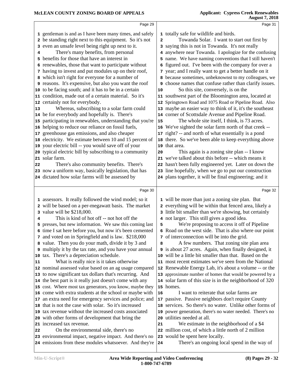|                                                                                | Page 29                                                                                                                                                                                                                                                                                                                                                                                                                                                                                                                                                                                                                                                                                                                                                                                                                                                                                                                                                                                                                                                                                                                                                                                                                                                                                         |                                      | Page 31                                                                                                                                                                                                                                                                                                                                                                                                                                                                                                                                                                                                                                                                                                                                                                                                                                                                                                                                                                                                                                                                                                                                                                                                                                                   |  |
|--------------------------------------------------------------------------------|-------------------------------------------------------------------------------------------------------------------------------------------------------------------------------------------------------------------------------------------------------------------------------------------------------------------------------------------------------------------------------------------------------------------------------------------------------------------------------------------------------------------------------------------------------------------------------------------------------------------------------------------------------------------------------------------------------------------------------------------------------------------------------------------------------------------------------------------------------------------------------------------------------------------------------------------------------------------------------------------------------------------------------------------------------------------------------------------------------------------------------------------------------------------------------------------------------------------------------------------------------------------------------------------------|--------------------------------------|-----------------------------------------------------------------------------------------------------------------------------------------------------------------------------------------------------------------------------------------------------------------------------------------------------------------------------------------------------------------------------------------------------------------------------------------------------------------------------------------------------------------------------------------------------------------------------------------------------------------------------------------------------------------------------------------------------------------------------------------------------------------------------------------------------------------------------------------------------------------------------------------------------------------------------------------------------------------------------------------------------------------------------------------------------------------------------------------------------------------------------------------------------------------------------------------------------------------------------------------------------------|--|
| 3<br>4<br>10<br>12<br>13<br>14<br>15<br>16<br>17<br>18<br>19<br>20<br>21<br>22 | 1 gentleman is and as I have been many times, and safely<br>2 be standing right next to this equipment. So it's not<br>even an unsafe level being right up next to it.<br>There's many benefits, from personal<br>5 benefits for those that have an interest in<br>6 renewables, those that want to participate without<br>7 having to invest and put modules up on their roof,<br>8 which isn't right for everyone for a number of<br>9 reasons. It's expensive, but also you want the roof<br>to be facing south; and it has to be in a certain<br>11 condition, made out of a certain material. So it's<br>certainly not for everybody.<br>Whereas, subscribing to a solar farm could<br>be for everybody and hopefully is. There's<br>participating in renewables, understanding that you're<br>helping to reduce our reliance on fossil fuels,<br>greenhouse gas emissions, and also cheaper<br>electricity. We estimate between 10 and 15 percent of<br>your electric bill -- you would save off of your<br>typical electric bill by subscribing to a community<br>solar farm.<br>There's also community benefits. There's<br>23 now a uniform way, basically legislation, that has                                                                                                       | $\mathbf{2}$<br>10<br>15<br>19<br>20 | 1 totally safe for wildlife and birds.<br>Towanda Solar. I want to start out first by<br>3 saying this is not in Towanda. It's not really<br>4 anywhere near Towanda. I apologize for the confusing<br>5 name. We have naming conventions that I still haven't<br>6 figured out. I've been with the company for over a<br>7 year; and I really want to get a better handle on it<br>8 because sometimes, unbeknownst to my colleagues, we<br><b>9</b> choose names that confuse rather than clarify issues.<br>So this site, conversely, is on the<br>11 southwest part of the Bloomington area, located at<br>12 Springtown Road and 1075 Road or Pipeline Road. Also<br>13 maybe an easier way to think of it, it's the southeast<br>14 corner of Scottsdale Avenue and Pipeline Road.<br>The whole site itself, I think, is 73 acres.<br>16 We've sighted the solar farm north of that creek --<br>17 right? -- and north of what essentially is a pond<br>18 there. So we've been able to keep everything above<br>that area.<br>This again is a zoning site plan -- I know<br>21 we've talked about this before -- which means it<br>22 hasn't been fully engineered yet. Later on down the<br>23 line hopefully, when we go to put our construction |  |
|                                                                                | 24 dictated how solar farms will be assessed by                                                                                                                                                                                                                                                                                                                                                                                                                                                                                                                                                                                                                                                                                                                                                                                                                                                                                                                                                                                                                                                                                                                                                                                                                                                 |                                      | 24 plans together, it will be final engineering; and it                                                                                                                                                                                                                                                                                                                                                                                                                                                                                                                                                                                                                                                                                                                                                                                                                                                                                                                                                                                                                                                                                                                                                                                                   |  |
|                                                                                | Page 30                                                                                                                                                                                                                                                                                                                                                                                                                                                                                                                                                                                                                                                                                                                                                                                                                                                                                                                                                                                                                                                                                                                                                                                                                                                                                         |                                      | Page 32                                                                                                                                                                                                                                                                                                                                                                                                                                                                                                                                                                                                                                                                                                                                                                                                                                                                                                                                                                                                                                                                                                                                                                                                                                                   |  |
| 3<br>4<br>10<br>11<br>12<br>13<br>15<br>17<br>18<br>19<br>20<br>21<br>22<br>23 | 1 assessors. It really followed the wind model; so it<br>2 will be based on a per-megawatt basis. The market<br>value will be \$218,000.<br>This is kind of hot off -- not hot off the<br>5 presses, but new information. We saw this coming last<br>6 time I sat here before you, but now it's been cemented<br>7 and voted on in Springfield and is law. \$218,000<br>8 value. Then you do your math, divide it by 3 and<br><b>9</b> multiply it by the tax rate, and you have your annual<br>tax. There's a depreciation schedule.<br>What is really nice is it takes otherwise<br>nominal assessed value based on an ag usage compared<br>to now significant tax dollars that's recurring. And<br>14 the best part is it really just doesn't come with any<br>cost. Where most tax generators, you know, maybe they<br>16 come with extra students at the school or maybe with<br>an extra need for emergency services and police; and<br>that is not the case with solar. So it's increased<br>tax revenue without the increased costs associated<br>with other forms of development that bring the<br>increased tax revenue.<br>On the environmental side, there's no<br>environmental impact, negative impact. And there's no<br>24 emissions from these modules whatsoever. And they're | 5<br>8<br>16<br>19<br>20<br>21<br>24 | 1 will be more than just a zoning site plan. But<br>2 everything will be within that fenced area, likely a<br>3 little bit smaller than we're showing, but certainly<br>4 not larger. This still gives a good idea.<br>We're proposing to access it off of Pipeline<br>6 Road on the west side. That is also where our point<br>7 of interconnection will be into the grid.<br>A few numbers. That zoning site plan area<br>9 is about 27 acres. Again, when finally designed, it<br>10 will be a little bit smaller than that. Based on the<br>11 most recent estimates we've seen from the National<br>12 Renewable Energy Lab, it's about a volume -- or the<br>13 approximate number of homes that would be powered by a<br>14 solar farm of this size is in the neighborhood of 320<br>15 homes.<br>I want to reiterate that solar farms are<br>17 passive. Passive neighbors don't require County<br>18 services. So there's no water. Unlike other forms of<br>power generation, there's no water needed. There's no<br>utilities needed at all.<br>We estimate in the neighborhood of a \$4<br>22 million cost, of which a little north of 2 million<br>23 would be spent here locally.<br>There's an ongoing local spend in the way of           |  |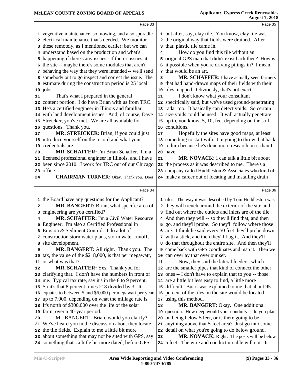|                | Page 33                                                                   |    | Page 35                                                                                                    |
|----------------|---------------------------------------------------------------------------|----|------------------------------------------------------------------------------------------------------------|
|                | 1 vegetative maintenance, so mowing, and also sporadic                    |    | 1 but after, say, clay tile. You know, clay tile was                                                       |
|                | 2 electrical maintenance that's needed. We monitor                        |    | 2 the original way that fields were drained. After                                                         |
|                | 3 these remotely, as I mentioned earlier; but we can                      |    | 3 that, plastic tile came in.                                                                              |
|                | 4 understand based on the production and what's                           | 4  | How do you find this tile without an                                                                       |
|                | 5 happening if there's any issues. If there's issues at                   |    | 5 original GPS map that didn't exist back then? How is                                                     |
|                | 6 the site -- maybe there's some modules that aren't                      |    | 6 it possible when you're driving pilings in? I mean,                                                      |
|                | 7 behaving the way that they were intended -- we'll send                  |    | 7 that would be an art.                                                                                    |
|                | 8 somebody out to go inspect and correct the issue. The                   | 8  | MR. SCHAFFER: I have actually seen farmers                                                                 |
|                | 9 estimate during the construction period is 25 local                     |    | <b>9</b> that had hand-drawn maps of their fields with their                                               |
|                | $10$ jobs.                                                                |    | 10 tiles mapped. Obviously, that's not exact.                                                              |
| 11             | That's what I prepared in the general                                     | 11 | I don't know what your consultant                                                                          |
|                | 12 content portion. I do have Brian with us from TRC.                     |    | 12 specifically said, but we've used ground-penetrating                                                    |
|                | 13 He's a certified engineer in Illinois and familiar                     |    | 13 radar too. It basically can detect voids. So certain                                                    |
|                | 14 with land development issues. And, of course, Dave                     |    | 14 size voids could be used. It will actually penetrate                                                    |
|                | 15 Streicker, you've met. We are all available for                        |    | 15 up to, you know, 5, 10, feet depending on the soil                                                      |
|                | 16 questions. Thank you.                                                  |    | 16 conditions.                                                                                             |
| 17             | MR. STREICKER: Brian, if you could just                                   | 17 | Hopefully the sites have good maps, at least                                                               |
|                | 18 introduce yourself on the record and what your                         | 18 | something to start with. I'm going to throw that back                                                      |
|                | 19 credentials are.                                                       | 19 | to him because he's done more research on it than I                                                        |
| 20             | MR. SCHAFFER: I'm Brian Schaffer. I'm a                                   |    | 20 have.                                                                                                   |
|                | 21 licensed professional engineer in Illinois, and I have                 | 21 | MR. NOVACK: I can talk a little bit about                                                                  |
|                | 22 been since 2010. I work for TRC out of our Chicago                     |    | 22 the process as it was described to me. There's a                                                        |
|                | 23 office.                                                                |    | 23 company called Huddleston & Associates who kind of                                                      |
| 24             | <b>CHAIRMAN TURNER:</b> Okay. Thank you. Does                             |    | 24 make a career out of locating and installing drain                                                      |
|                |                                                                           |    |                                                                                                            |
|                |                                                                           |    |                                                                                                            |
|                | Page 34                                                                   |    | Page 36                                                                                                    |
|                | 1 the Board have any questions for the Applicant?                         |    | 1 tiles. The way it was described by Tom Huddleston was                                                    |
| $\overline{a}$ | MR. BANGERT: Brian, what specific area of                                 |    | 2 they will trench around the exterior of the site and                                                     |
|                | 3 engineering are you certified?                                          |    | 3 find out where the outlets and inlets are of the tile.                                                   |
| 4              | <b>MR. SCHAFFER:</b> I'm a Civil Water Resource                           |    | 4 And then they will -- so they'll find that, and then                                                     |
|                | 5 Engineer. I'm also a Certified Professional in                          |    | 5 go, and they'll probe. So they'll follow where those                                                     |
|                | 6 Erosion & Sediment Control. I do a lot of                               |    | 6 are. I think he said every 50 feet they'll probe down                                                    |
|                | 7 construction stormwater plans, storm water runoff,                      |    | 7 with a stick, and then they'll flag it. And they'll                                                      |
|                | 8 site development.                                                       |    | 8 do that throughout the entire site. And then they'll                                                     |
| 9              | MR. BANGERT: All right. Thank you. The                                    |    | 9 come back with GPS coordinates and map it. Then we                                                       |
|                | 10 tax, the value of the \$218,000, is that per megawatt,                 |    | 10 can overlay that over our set.                                                                          |
|                | 11 or what was that?                                                      | 11 | Now, they said the lateral feeders, which                                                                  |
| 12             | MR. SCHAFFER: Yes. Thank you for                                          |    | 12 are the smaller pipes that kind of connect the other                                                    |
|                | 13 clarifying that. I don't have the numbers in front of                  |    | 13 ones -- I don't have to explain that to you -- those                                                    |
|                | 14 me. Typical tax rate, say it's in the 8 to 9 percent.                  |    | 14 are a little bit less easy to find, a little more                                                       |
|                | 15 So it's that 8 percent times 218 divided by 3. It                      | 15 | difficult. But it was explained to me that about 95                                                        |
|                | 16 equates to between 5 and \$6,000 per megawatt per year                 | 16 | percent of the tiles on the site would be located                                                          |
|                | 17 up to 7,000, depending on what the millage rate is.                    | 18 | 17 using this method.                                                                                      |
|                | 18 It's north of \$300,000 over the life of the solar                     |    | MR. BANGERT: Okay. One additional                                                                          |
| 20             | 19 farm, over a 40-year period.<br>Mr. BANGERT: Brian, would you clarify? | 20 | 19 question. How deep would your conduits -- do you plan<br>on being below 5 feet, or is there going to be |
|                | 21 We've heard you in the discussion about they locate                    | 21 | anything above that 5-feet area? Just go into some                                                         |
|                | 22 the tile fields. Explain to me a little bit more                       | 22 | detail on what you're going to do below ground.                                                            |
|                | 23 about something that may not be sited with GPS, say                    | 23 | MR. NOVACK: Right. The posts will be below                                                                 |
|                | 24 something that's a little bit more dated, before GPS                   |    | 24 5 feet. The wire and conductor cable will not. It                                                       |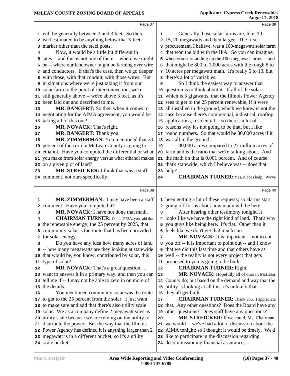| Page 37                                                                     |                                                                                                                                                                                                                                                                                                                                                                                                                                                                                                                                                                                                                                                                                                                                                                                                                                                                                                                                                                                                                                                                                                                                                  | Page 39                                                                                          |
|-----------------------------------------------------------------------------|--------------------------------------------------------------------------------------------------------------------------------------------------------------------------------------------------------------------------------------------------------------------------------------------------------------------------------------------------------------------------------------------------------------------------------------------------------------------------------------------------------------------------------------------------------------------------------------------------------------------------------------------------------------------------------------------------------------------------------------------------------------------------------------------------------------------------------------------------------------------------------------------------------------------------------------------------------------------------------------------------------------------------------------------------------------------------------------------------------------------------------------------------|--------------------------------------------------------------------------------------------------|
|                                                                             |                                                                                                                                                                                                                                                                                                                                                                                                                                                                                                                                                                                                                                                                                                                                                                                                                                                                                                                                                                                                                                                                                                                                                  | Generally those solar farms are, like, 10,                                                       |
|                                                                             |                                                                                                                                                                                                                                                                                                                                                                                                                                                                                                                                                                                                                                                                                                                                                                                                                                                                                                                                                                                                                                                                                                                                                  | 15, 20 megawatts and then larger. The first                                                      |
|                                                                             |                                                                                                                                                                                                                                                                                                                                                                                                                                                                                                                                                                                                                                                                                                                                                                                                                                                                                                                                                                                                                                                                                                                                                  | 3 procurement, I believe, was a 100-megawatt solar farm                                          |
|                                                                             |                                                                                                                                                                                                                                                                                                                                                                                                                                                                                                                                                                                                                                                                                                                                                                                                                                                                                                                                                                                                                                                                                                                                                  | 4 that won the bid with the IPA. So you can imagine,                                             |
|                                                                             |                                                                                                                                                                                                                                                                                                                                                                                                                                                                                                                                                                                                                                                                                                                                                                                                                                                                                                                                                                                                                                                                                                                                                  | 5 when you start adding up the 100-megawatt farms -- and                                         |
|                                                                             |                                                                                                                                                                                                                                                                                                                                                                                                                                                                                                                                                                                                                                                                                                                                                                                                                                                                                                                                                                                                                                                                                                                                                  | 6 that might be 800 to 1,000 acres with the rough 8 to                                           |
|                                                                             |                                                                                                                                                                                                                                                                                                                                                                                                                                                                                                                                                                                                                                                                                                                                                                                                                                                                                                                                                                                                                                                                                                                                                  | 7 10 acres per megawatt math. It's really 5 to 10, but                                           |
|                                                                             |                                                                                                                                                                                                                                                                                                                                                                                                                                                                                                                                                                                                                                                                                                                                                                                                                                                                                                                                                                                                                                                                                                                                                  | 8 there's a lot of variables.                                                                    |
|                                                                             | 9                                                                                                                                                                                                                                                                                                                                                                                                                                                                                                                                                                                                                                                                                                                                                                                                                                                                                                                                                                                                                                                                                                                                                | So I think the easiest way to answer that                                                        |
|                                                                             |                                                                                                                                                                                                                                                                                                                                                                                                                                                                                                                                                                                                                                                                                                                                                                                                                                                                                                                                                                                                                                                                                                                                                  | 10 question is to think about it. If all of the solar,                                           |
|                                                                             |                                                                                                                                                                                                                                                                                                                                                                                                                                                                                                                                                                                                                                                                                                                                                                                                                                                                                                                                                                                                                                                                                                                                                  | 11 which is 3 gigawatts, that the Illinois Power Agency                                          |
|                                                                             |                                                                                                                                                                                                                                                                                                                                                                                                                                                                                                                                                                                                                                                                                                                                                                                                                                                                                                                                                                                                                                                                                                                                                  | 12 sees to get to the 25 percent renewable, if it were                                           |
|                                                                             |                                                                                                                                                                                                                                                                                                                                                                                                                                                                                                                                                                                                                                                                                                                                                                                                                                                                                                                                                                                                                                                                                                                                                  | 13 all installed in the ground, which we know is not the                                         |
|                                                                             |                                                                                                                                                                                                                                                                                                                                                                                                                                                                                                                                                                                                                                                                                                                                                                                                                                                                                                                                                                                                                                                                                                                                                  | 14 case because there's commercial, industrial, rooftop                                          |
|                                                                             |                                                                                                                                                                                                                                                                                                                                                                                                                                                                                                                                                                                                                                                                                                                                                                                                                                                                                                                                                                                                                                                                                                                                                  | 15 applications, residential -- so there's a lot of                                              |
|                                                                             |                                                                                                                                                                                                                                                                                                                                                                                                                                                                                                                                                                                                                                                                                                                                                                                                                                                                                                                                                                                                                                                                                                                                                  | 16 reasons why it's not going to be that, but I like                                             |
|                                                                             |                                                                                                                                                                                                                                                                                                                                                                                                                                                                                                                                                                                                                                                                                                                                                                                                                                                                                                                                                                                                                                                                                                                                                  | 17 round numbers. So that would be 30,000 acres if it                                            |
|                                                                             |                                                                                                                                                                                                                                                                                                                                                                                                                                                                                                                                                                                                                                                                                                                                                                                                                                                                                                                                                                                                                                                                                                                                                  | 18 was all in the ground.                                                                        |
|                                                                             |                                                                                                                                                                                                                                                                                                                                                                                                                                                                                                                                                                                                                                                                                                                                                                                                                                                                                                                                                                                                                                                                                                                                                  | 30,000 acres compared to 27 million acres of                                                     |
|                                                                             |                                                                                                                                                                                                                                                                                                                                                                                                                                                                                                                                                                                                                                                                                                                                                                                                                                                                                                                                                                                                                                                                                                                                                  | 20 farmland is the ratio that we're talking about. And                                           |
|                                                                             |                                                                                                                                                                                                                                                                                                                                                                                                                                                                                                                                                                                                                                                                                                                                                                                                                                                                                                                                                                                                                                                                                                                                                  | 21 the math on that is 0.001 percent. And of course                                              |
|                                                                             |                                                                                                                                                                                                                                                                                                                                                                                                                                                                                                                                                                                                                                                                                                                                                                                                                                                                                                                                                                                                                                                                                                                                                  | 22 that's statewide, which I believe was -- does that                                            |
|                                                                             |                                                                                                                                                                                                                                                                                                                                                                                                                                                                                                                                                                                                                                                                                                                                                                                                                                                                                                                                                                                                                                                                                                                                                  | 23 help?                                                                                         |
| 24 comment, not ours specifically.                                          | 24                                                                                                                                                                                                                                                                                                                                                                                                                                                                                                                                                                                                                                                                                                                                                                                                                                                                                                                                                                                                                                                                                                                                               | <b>CHAIRMAN TURNER:</b> Yes, it does help. We've                                                 |
|                                                                             |                                                                                                                                                                                                                                                                                                                                                                                                                                                                                                                                                                                                                                                                                                                                                                                                                                                                                                                                                                                                                                                                                                                                                  |                                                                                                  |
|                                                                             |                                                                                                                                                                                                                                                                                                                                                                                                                                                                                                                                                                                                                                                                                                                                                                                                                                                                                                                                                                                                                                                                                                                                                  |                                                                                                  |
| Page 38                                                                     |                                                                                                                                                                                                                                                                                                                                                                                                                                                                                                                                                                                                                                                                                                                                                                                                                                                                                                                                                                                                                                                                                                                                                  | Page 40                                                                                          |
|                                                                             |                                                                                                                                                                                                                                                                                                                                                                                                                                                                                                                                                                                                                                                                                                                                                                                                                                                                                                                                                                                                                                                                                                                                                  |                                                                                                  |
| MR. ZIMMERMAN: It may have been a staff                                     |                                                                                                                                                                                                                                                                                                                                                                                                                                                                                                                                                                                                                                                                                                                                                                                                                                                                                                                                                                                                                                                                                                                                                  | 1 been getting a lot of these requests; so alarms start                                          |
| 2 comment. Have you computed it?<br>MR. NOVACK: I have not done that math.  | 3                                                                                                                                                                                                                                                                                                                                                                                                                                                                                                                                                                                                                                                                                                                                                                                                                                                                                                                                                                                                                                                                                                                                                | 2 going off for us about how many will be here.<br>After hearing other testimony tonight, it     |
| <b>CHAIRMAN TURNER:</b> On the FEJA, you said that                          |                                                                                                                                                                                                                                                                                                                                                                                                                                                                                                                                                                                                                                                                                                                                                                                                                                                                                                                                                                                                                                                                                                                                                  | 4 looks like we have the right kind of land. That's why                                          |
| 5 the renewable energy, the 25 percent by 2025, that                        |                                                                                                                                                                                                                                                                                                                                                                                                                                                                                                                                                                                                                                                                                                                                                                                                                                                                                                                                                                                                                                                                                                                                                  | 5 you guys like being here. It's flat. Other than it                                             |
| 6 community solar is the route that has been provided                       |                                                                                                                                                                                                                                                                                                                                                                                                                                                                                                                                                                                                                                                                                                                                                                                                                                                                                                                                                                                                                                                                                                                                                  | 6 feels like we don't get that much sun.                                                         |
| 7 for solar energy.                                                         | 7                                                                                                                                                                                                                                                                                                                                                                                                                                                                                                                                                                                                                                                                                                                                                                                                                                                                                                                                                                                                                                                                                                                                                | MR. NOVACK: It is important -- not to cut                                                        |
| Do you have any idea how many acres of land                                 |                                                                                                                                                                                                                                                                                                                                                                                                                                                                                                                                                                                                                                                                                                                                                                                                                                                                                                                                                                                                                                                                                                                                                  | 8 you off -- it is important to point out -- and I know                                          |
| 9 -- how many megawatts are they looking at statewide                       |                                                                                                                                                                                                                                                                                                                                                                                                                                                                                                                                                                                                                                                                                                                                                                                                                                                                                                                                                                                                                                                                                                                                                  | <b>9</b> that we did this last time and that others have as                                      |
| 10 that would be, you know, contributed by solar, this                      |                                                                                                                                                                                                                                                                                                                                                                                                                                                                                                                                                                                                                                                                                                                                                                                                                                                                                                                                                                                                                                                                                                                                                  | 10 well -- the reality is not every project that gets                                            |
| 11 type of solar?                                                           |                                                                                                                                                                                                                                                                                                                                                                                                                                                                                                                                                                                                                                                                                                                                                                                                                                                                                                                                                                                                                                                                                                                                                  | 11 proposed to you is going to be built.                                                         |
| MR. NOVACK: That's a great question. I                                      | 12                                                                                                                                                                                                                                                                                                                                                                                                                                                                                                                                                                                                                                                                                                                                                                                                                                                                                                                                                                                                                                                                                                                                               | <b>CHAIRMAN TURNER: Right.</b>                                                                   |
| 13 want to answer it in a primary way, and then you can                     | 13                                                                                                                                                                                                                                                                                                                                                                                                                                                                                                                                                                                                                                                                                                                                                                                                                                                                                                                                                                                                                                                                                                                                               | MR. NOVACK: Hopefully all of ours in McLean                                                      |
| 14 tell me if -- I may not be able to zero in on more of                    |                                                                                                                                                                                                                                                                                                                                                                                                                                                                                                                                                                                                                                                                                                                                                                                                                                                                                                                                                                                                                                                                                                                                                  | 14 County do; but based on the demand and way that the                                           |
| 15 the details.                                                             |                                                                                                                                                                                                                                                                                                                                                                                                                                                                                                                                                                                                                                                                                                                                                                                                                                                                                                                                                                                                                                                                                                                                                  | 15 utility is looking at all this, it's unlikely that                                            |
| You mentioned community solar was the route                                 |                                                                                                                                                                                                                                                                                                                                                                                                                                                                                                                                                                                                                                                                                                                                                                                                                                                                                                                                                                                                                                                                                                                                                  | 16 they all get built.                                                                           |
| 17 to get to the 25 percent from the solar. I just want                     | 17                                                                                                                                                                                                                                                                                                                                                                                                                                                                                                                                                                                                                                                                                                                                                                                                                                                                                                                                                                                                                                                                                                                                               | <b>CHAIRMAN TURNER:</b> Thank you. I appreciate                                                  |
| 18 to make sure and add that there's also utility scale                     |                                                                                                                                                                                                                                                                                                                                                                                                                                                                                                                                                                                                                                                                                                                                                                                                                                                                                                                                                                                                                                                                                                                                                  | 18 that. Any other questions? Does the Board have any                                            |
| 19 solar. We as a company define 2 megawatt sites as                        |                                                                                                                                                                                                                                                                                                                                                                                                                                                                                                                                                                                                                                                                                                                                                                                                                                                                                                                                                                                                                                                                                                                                                  | 19 other questions? Does staff have any questions?                                               |
| 20 utility scale because we are relying on the utility to                   | 20                                                                                                                                                                                                                                                                                                                                                                                                                                                                                                                                                                                                                                                                                                                                                                                                                                                                                                                                                                                                                                                                                                                                               | MR. STREICKER: If we could, Ms. Chairman,                                                        |
| 21 distribute the power. But the way that the Illinois                      |                                                                                                                                                                                                                                                                                                                                                                                                                                                                                                                                                                                                                                                                                                                                                                                                                                                                                                                                                                                                                                                                                                                                                  | 21 we would -- we've had a lot of discussion about the                                           |
| 22 Power Agency has defined it is anything larger than 2                    |                                                                                                                                                                                                                                                                                                                                                                                                                                                                                                                                                                                                                                                                                                                                                                                                                                                                                                                                                                                                                                                                                                                                                  | 22 AIMA tonight; so I thought it would be timely. We'd                                           |
| 23 megawatt is in a different bucket; so it's a utility<br>24 scale bucket. |                                                                                                                                                                                                                                                                                                                                                                                                                                                                                                                                                                                                                                                                                                                                                                                                                                                                                                                                                                                                                                                                                                                                                  | 23 like to participate in the discussion regarding<br>24 decommissioning financial assurance, -- |
|                                                                             | 1 will be generally between 2 and 3 feet. So there<br>2 isn't estimated to be anything below that 3-feet<br>3 marker other than the steel posts.<br>Now, it would be a little bit different in<br>5 sites -- and this is not one of them -- where we might<br>6 be -- where our landowner might be farming over wire<br>7 and conductors. If that's the case, then we go deeper<br>8 with those, with that conduit, with those wires. But<br>9 in situations where we're just taking it from our<br>10 solar farm to the point of interconnection, we're<br>11 still generally above -- we're above 3 feet, as it's<br>12 been laid out and described to me.<br>MR. BANGERT: So then when it comes to<br>14 negotiating for the AIMA agreement, you would be<br>15 taking all of this out?<br>MR. NOVACK: That's right.<br>MR. BANGERT: Thank you.<br>MR. ZIMMERMAN: You mentioned that 30<br>19 percent of the corn in McLean County is going to<br>20 ethanol. Have you computed the differential or what<br>21 you make from solar energy versus what ethanol makes<br>22 on a given plot of land?<br>MR. STREICKER: I think that was a staff | 1<br>2<br>19                                                                                     |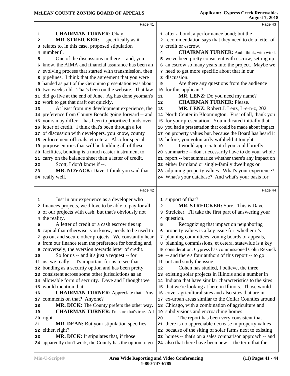|    | Page 41                                                                                                    |                | Page 43                                                                                                           |
|----|------------------------------------------------------------------------------------------------------------|----------------|-------------------------------------------------------------------------------------------------------------------|
| 1  | <b>CHAIRMAN TURNER: Okay.</b>                                                                              |                | 1 after a bond, a performance bond; but the                                                                       |
| 2  | MR. STREICKER: -- specifically as it                                                                       |                | 2 recommendation says that they need to do a letter of                                                            |
|    | 3 relates to, in this case, proposed stipulation                                                           |                | 3 credit or escrow.                                                                                               |
| 4  | number 8.                                                                                                  | 4              | <b>CHAIRMAN TURNER:</b> And I think, with wind,                                                                   |
| 5  | One of the discussions in there -- and, you                                                                |                | 5 we've been pretty consistent with escrow, setting up                                                            |
|    | 6 know, the AIMA and financial assurance has been an                                                       |                | 6 an escrow so many years into the project. Maybe we                                                              |
|    | 7 evolving process that started with transmission, then                                                    |                | 7 need to get more specific about that in our                                                                     |
|    | 8 pipelines. I think that the agreement that you were                                                      |                | 8 discussion.                                                                                                     |
|    | 9 handed as part of the Geronimo presentation was about                                                    |                |                                                                                                                   |
|    |                                                                                                            | 9              | Are there any questions from the audience                                                                         |
|    | 10 two weeks old. That's been on the website. That law                                                     |                | 10 for this applicant?                                                                                            |
|    | 11 did go live at the end of June. Ag has done yeoman's                                                    | 11             | MR. LENZ: Do you need my name?                                                                                    |
|    | 12 work to get that draft out quickly.                                                                     | 12             | <b>CHAIRMAN TURNER: Please.</b>                                                                                   |
| 13 | At least from my development experience, the                                                               | 13             | MR. LENZ: Robert J. Lenz, L-e-n-z, 202                                                                            |
|    | 14 preference from County Boards going forward -- and                                                      |                | 14 North Center in Bloomington. First of all, thank you                                                           |
|    | 15 yours may differ -- has been to prioritize bonds over                                                   |                | 15 for your presentation. You indicated initially that                                                            |
|    | 16 letter of credit. I think that's been through a lot                                                     |                | 16 you had a presentation that could be made about impact                                                         |
|    | 17 of discussion with developers, you know, county                                                         |                | 17 on property values but, because the Board has heard it                                                         |
|    | 18 enforcement officials, et cetera. Also for special                                                      | 18             | before, you voluntarily withheld it tonight.                                                                      |
|    | 19 purpose entities that will be building all of these                                                     | 19             | I would appreciate it if you could briefly                                                                        |
|    | 20 facilities, bonding is a much easier instrument to                                                      | 20             | summarize -- don't necessarily have to do your whole                                                              |
|    | 21 carry on the balance sheet than a letter of credit.                                                     |                | 21 report -- but summarize whether there's any impact on                                                          |
| 22 | Scott, I don't know if --.                                                                                 |                | 22 either farmland or single-family dwellings or                                                                  |
| 23 | MR. NOVACK: Dave, I think you said that                                                                    |                | 23 adjoining property values. What's your experience?                                                             |
|    | 24 really well.                                                                                            |                | 24 What's your database? And what's your basis for                                                                |
|    |                                                                                                            |                |                                                                                                                   |
|    |                                                                                                            |                |                                                                                                                   |
|    | Page 42                                                                                                    |                | Page 44                                                                                                           |
| 1  |                                                                                                            |                |                                                                                                                   |
|    | Just in our experience as a developer who                                                                  | $\overline{a}$ | 1 support of that?<br>MR. STREICKER: Sure. This is Dave                                                           |
| 3  | 2 finances projects, we'd love to be able to pay for all                                                   |                |                                                                                                                   |
|    | of our projects with cash, but that's obviously not                                                        |                | 3 Streicker. I'll take the first part of answering your                                                           |
| 5  | 4 the reality.                                                                                             | 5              | 4 question.                                                                                                       |
|    | A letter of credit or a cash escrow ties up                                                                |                | Recognizing that impact on neighboring                                                                            |
|    | 6 capital that otherwise, you know, needs to be used to                                                    |                | 6 property values is a key issue for, whether it's                                                                |
|    | 7 go out and secure other projects. We constantly hear                                                     |                | 7 planning committees, zoning boards of appeals,                                                                  |
|    | 8 from our finance team the preference for bonding and,                                                    |                | 8 planning commissions, et cetera, statewide is a key                                                             |
|    | 9 conversely, the aversion towards letter of credit.                                                       |                | 9 consideration, Cypress has commissioned Cohn Reznick                                                            |
| 10 | So for us -- and it's just a request -- for                                                                |                | 10 -- and there's four authors of this report -- to go                                                            |
|    | 11 us, we really -- it's important for us to see that                                                      |                | 11 out and study the issue.                                                                                       |
|    | 12 bonding as a security option and has been pretty                                                        | 12             | Cohen has studied, I believe, the three                                                                           |
|    | 13 consistent across some other jurisdictions as an                                                        |                | 13 existing solar projects in Illinois and a number in                                                            |
|    | 14 allowable form of security. Dave and I thought we                                                       |                | 14 Indiana that have similar characteristics to the sites                                                         |
|    | 15 would mention that.                                                                                     |                | 15 that we're looking at here in Illinois. Those would                                                            |
| 16 | <b>CHAIRMAN TURNER:</b> Appreciate that. Any                                                               |                | 16 cover agricultural sites and also sites that are in                                                            |
|    | 17 comments on that? Anyone?                                                                               |                | 17 ex-urban areas similar to the Collar Counties around                                                           |
| 18 | MR. DICK: The County prefers the other way.                                                                | 18             | Chicago, with a combination of agriculture and                                                                    |
| 19 | <b>CHAIRMAN TURNER:</b> I'm sure that's true. All                                                          |                | 19 subdivisions and encroaching homes.                                                                            |
|    | 20 right.                                                                                                  | 20             | The report has been very consistent that                                                                          |
| 21 | <b>MR. DEAN:</b> But your stipulation specifies                                                            |                | 21 there is no appreciable decrease in property values                                                            |
| 22 | either, right?                                                                                             |                | 22 because of the siting of solar farms next to existing                                                          |
| 23 | <b>MR. DICK:</b> It stipulates that, if those<br>24 apparently don't work, the County has the option to go |                | 23 homes -- that's on a sales comparison approach -- and<br>24 also that there have been new -- the term that the |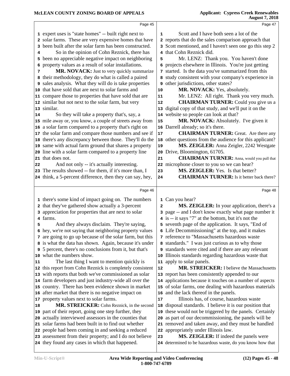|    | Page 45                                                                                                    |                         | Page 47                                                                                                    |  |
|----|------------------------------------------------------------------------------------------------------------|-------------------------|------------------------------------------------------------------------------------------------------------|--|
|    | 1 expert uses is "state homes" -- built right next to                                                      | 1                       | Scott and I have both seen a lot of the                                                                    |  |
|    | 2 solar farms. These are very expensive homes that have                                                    |                         | 2 reports that do the sales comparison approach that                                                       |  |
| 3  | been built after the solar farm has been constructed.                                                      |                         | 3 Scott mentioned, and I haven't seen one go this step 2                                                   |  |
| 4  | So in the opinion of Cohn Reznick, there has                                                               |                         | 4 that Cohn Reznick did.                                                                                   |  |
| 5  | been no appreciable negative impact on neighboring                                                         | 5                       | Mr. LENZ: Thank you. You haven't done                                                                      |  |
| 6  | property values as a result of solar installations.                                                        |                         | 6 projects elsewhere in Illinois. You're just getting                                                      |  |
| 7  | MR. NOVACK: Just to very quickly summarize                                                                 |                         | 7 started. Is the data you've summarized from this                                                         |  |
| 8  | their methodology, they do what is called a paired                                                         |                         | 8 study consistent with your company's experience in                                                       |  |
| 9  | sales analysis. What they will do is take properties                                                       |                         | 9 other jurisdictions, other states?                                                                       |  |
| 10 | that have sold that are next to solar farms and                                                            | 10                      | MR. NOVACK: Yes, absolutely.                                                                               |  |
|    | 11 compare those to properties that have sold that are                                                     | 11                      | Mr. LENZ: All right. Thank you very much.                                                                  |  |
|    | 12 similar but not next to the solar farm, but very                                                        | 12                      | <b>CHAIRMAN TURNER:</b> Could you give us a                                                                |  |
|    | 13 similar.                                                                                                | 13                      | digital copy of that study, and we'll put it on the                                                        |  |
| 14 | So they will take a property that's, say, a                                                                |                         | 14 website so people can look at that?                                                                     |  |
|    | 15 mile away or, you know, a couple of streets away from                                                   | 15                      | MR. NOVACK: Absolutely. I've given it                                                                      |  |
|    | 16 a solar farm compared to a property that's right on                                                     |                         | 16 Darrell already; so it's there.                                                                         |  |
| 17 | the solar farm and compare those numbers and see if                                                        | $17$                    | <b>CHAIRMAN TURNER:</b> Great. Are there any                                                               |  |
| 18 | there's any discrepancy between those. They'll do the                                                      |                         | 18 other questions from the audience for this applicant?                                                   |  |
|    | 19 same with actual farm ground that shares a property                                                     | 19                      | MS. ZEIGLER: Anna Zeigler, 2242 Westgate                                                                   |  |
| 20 | line with a solar farm compared to a property line                                                         | 20                      | Drive, Bloomington, 61705.                                                                                 |  |
| 21 | that does not.                                                                                             | 21                      | <b>CHAIRMAN TURNER:</b> Anna, would you pull that                                                          |  |
| 22 | And not only -- it's actually interesting.                                                                 |                         | 22 microphone closer to you so we can hear?                                                                |  |
| 23 | The results showed -- for them, if it's more than, I                                                       | 23                      | MS. ZEIGLER: Yes. Is that better?                                                                          |  |
|    | 24 think, a 5-percent difference, then they can say, hey,                                                  | 24                      | <b>CHAIRMAN TURNER:</b> Is it better back there?                                                           |  |
|    |                                                                                                            |                         |                                                                                                            |  |
|    |                                                                                                            |                         |                                                                                                            |  |
|    | Page 46                                                                                                    |                         | Page 48                                                                                                    |  |
|    |                                                                                                            |                         |                                                                                                            |  |
| 2  | 1 there's some kind of impact going on. The numbers<br>that they've gathered show actually a 3-percent     | $\overline{\mathbf{2}}$ | 1 Can you hear?<br>MS. ZEIGLER: In your application, there's a                                             |  |
|    | 3 appreciation for properties that are next to solar                                                       |                         | 3 page -- and I don't know exactly what page number it                                                     |  |
|    | 4 farms.                                                                                                   |                         | 4 is -- it says "7" at the bottom, but it's not the                                                        |  |
| 5  | And they always disclaim. They're saying,                                                                  |                         | 5 seventh page of the application. It says, "End of                                                        |  |
|    | 6 hey, we're not saying that neighboring property values                                                   |                         | 6 Life Decommissioning" at the top, and it makes                                                           |  |
|    | 7 are going to go up because of the solar farm, but this                                                   |                         | 7 reference to "Massachusetts hazardous waste                                                              |  |
|    | 8 is what the data has shown. Again, because it's under                                                    |                         | 8 standards." I was just curious as to why those                                                           |  |
| 9  | 5 percent, there's no conclusions from it, but that's                                                      |                         | 9 standards were cited and if there are any relevant                                                       |  |
|    | 10 what the numbers show.                                                                                  |                         | 10 Illinois standards regarding hazardous waste that                                                       |  |
| 11 | The last thing I want to mention quickly is                                                                |                         | 11 apply to solar panels.                                                                                  |  |
|    | 12 this report from Cohn Reznick is completely consistent                                                  | ${\bf 12}$              | MR. STREICKER: I believe the Massachusetts                                                                 |  |
|    | 13 with reports that both we've commissioned as solar                                                      |                         | 13 report has been consistently appended to our                                                            |  |
| 14 | farm developers and just industry-wide all over the                                                        |                         | 14 applications because it touches on a number of aspects                                                  |  |
|    | 15 country. There has been evidence shown in market                                                        |                         | 15 of solar farms, one dealing with hazardous materials                                                    |  |
|    | 16 after market that there is no negative impact on                                                        |                         | 16 and the lack thereof in the panels.                                                                     |  |
| 17 | property values next to solar farms.                                                                       | 17                      | Illinois has, of course, hazardous waste                                                                   |  |
| 18 | MR. STREICKER: Cohn Reznick, in the second                                                                 | 18                      | disposal standards. I believe it is our position that                                                      |  |
| 19 | part of their report, going one step further, they                                                         | 19                      | these would not be triggered by the panels. Certainly                                                      |  |
| 20 | actually interviewed assessors in the counties that                                                        | 20                      | as part of our decommissioning, the panels will be                                                         |  |
| 21 | solar farms had been built in to find out whether                                                          |                         | 21 removed and taken away, and they must be handled                                                        |  |
|    | 22 people had been coming in and seeking a reduced                                                         |                         | 22 appropriately under Illinois law.                                                                       |  |
|    | 23 assessment from their property; and I do not believe<br>24 they found any cases in which that happened. | 23                      | <b>MS. ZEIGLER:</b> If indeed the panels were<br>24 determined to be hazardous waste, do you know how that |  |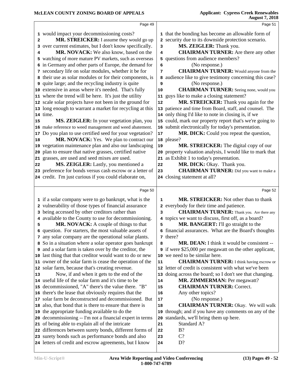|              | Page 49                                                                                                  |          | Page 51                                                                                     |  |
|--------------|----------------------------------------------------------------------------------------------------------|----------|---------------------------------------------------------------------------------------------|--|
|              | 1 would impact your decommissioning costs?                                                               |          | 1 that the bonding has become an allowable form of                                          |  |
| $\mathbf{2}$ | MR. STREICKER: I assume they would go up                                                                 |          | 2 security due to its downside protection scenario.                                         |  |
| 3            | over current estimates, but I don't know specifically.                                                   | 3        | MS. ZEIGLER: Thank you.                                                                     |  |
| 4            | MR. NOVACK: We also know, based on the                                                                   | 4        | <b>CHAIRMAN TURNER:</b> Are there any other                                                 |  |
|              | 5 watching of more mature PV markets, such as overseas                                                   |          | 5 questions from audience members?                                                          |  |
|              | 6 in Germany and other parts of Europe, the demand for                                                   | 6        | (No response.)                                                                              |  |
|              | 7 secondary life on solar modules, whether it be for                                                     | 7        | <b>CHAIRMAN TURNER:</b> Would anyone from the                                               |  |
|              | 8 their use as solar modules or for their components, is                                                 |          | 8 audience like to give testimony concerning this case?                                     |  |
|              | <b>9</b> quite large; and the recycling industry is quite                                                | 9        | (No response.)                                                                              |  |
|              | 10 extensive in areas where it's needed. That's fully                                                    | 10       | <b>CHAIRMAN TURNER:</b> Seeing none, would you                                              |  |
|              | 11 where the trend will be here. It's just the utility                                                   |          | 11 guys like to make a closing statement?                                                   |  |
|              | 12 scale solar projects have not been in the ground for                                                  | 12       | MR. STREICKER: Thank you again for the                                                      |  |
|              | 13 long enough to warrant a market for recycling at this                                                 |          | 13 patience and time from Board, staff, and counsel. The                                    |  |
|              | 14 time.                                                                                                 |          | 14 only thing I'd like to note in closing is, if we                                         |  |
| 15           | MS. ZEIGLER: In your vegetation plan, you                                                                |          | 15 could, mark our property report that's we're going to                                    |  |
|              | 16 make reference to weed management and weed abatement.                                                 |          | 16 submit electronically for today's presentation.                                          |  |
|              | 17 Do you plan to use certified seed for your vegetation?                                                | 17       | MR. DICK: Could you repeat the question,                                                    |  |
| 18           | MR. NOVACK: Yes. We plan to contract our<br>19 vegetation maintenance plan and also our landscaping      |          | 18 please?<br>MR. STREICKER: The digital copy of our                                        |  |
| 20           | plan to ensure that native grasses, certified native                                                     | 19<br>20 | property valuation analysis, I would like to mark that                                      |  |
| 21           | grasses, are used and seed mixes are used.                                                               |          | 21 as Exhibit 1 to today's presentation.                                                    |  |
| 22           | MS. ZEIGLER: Lastly, you mentioned a                                                                     | 22       | MR. DICK: Okay. Thank you.                                                                  |  |
|              | 23 preference for bonds versus cash escrow or a letter of                                                | 23       | <b>CHAIRMAN TURNER:</b> Did you want to make a                                              |  |
|              | 24 credit. I'm just curious if you could elaborate on,                                                   |          | 24 closing statement at all?                                                                |  |
|              |                                                                                                          |          |                                                                                             |  |
|              |                                                                                                          |          |                                                                                             |  |
|              | Page 50                                                                                                  |          | Page 52                                                                                     |  |
|              |                                                                                                          |          |                                                                                             |  |
|              | 1 if a solar company were to go bankrupt, what is the                                                    | 1        | MR. STREICKER: Not other than to thank                                                      |  |
|              | 2 vulnerability of those types of financial assurance                                                    | 3        | 2 everybody for their time and patience.                                                    |  |
|              | 3 being accessed by other creditors rather than                                                          |          | <b>CHAIRMAN TURNER:</b> Thank you. Are there any                                            |  |
| 5            | 4 available to the County to use for decommissioning.<br>MR. NOVACK: A couple of things to that          | 5        | 4 topics we want to discuss, first off, as a board?<br>MR. BANGERT: I'll go straight to the |  |
|              | 6 question. For starters, the most valuable assets of                                                    |          | 6 financial assurances. What are the Board's thoughts                                       |  |
|              | 7 any solar company are the operational solar plants.                                                    |          | 7 there?                                                                                    |  |
|              | 8 So in a situation where a solar operator goes bankrupt                                                 | 8        | MR. DEAN: I think it would be consistent --                                                 |  |
|              | <b>9</b> and a solar farm is taken over by the creditor, the                                             |          | <b>9</b> if were \$25,000 per megawatt on the other applicant,                              |  |
|              | 10 last thing that that creditor would want to do or new                                                 |          | 10 we need to be similar here.                                                              |  |
|              | 11 owner of the solar farm is cease the operation of the                                                 | 11       | <b>CHAIRMAN TURNER:</b> I think having escrow or                                            |  |
|              | 12 solar farm, because that's creating revenue.                                                          |          | 12 letter of credit is consistent with what we've been                                      |  |
| 13           | Now, if and when it gets to the end of the                                                               | 13       | doing across the board; so I don't see that changing.                                       |  |
|              | 14 useful life of the solar farm and it's time to be                                                     | 14       | <b>MR. ZIMMERMAN: Per megawatt?</b>                                                         |  |
|              | 15 decommissioned, "A" there's the value there. "B"                                                      | 15       | <b>CHAIRMAN TURNER: Correct.</b>                                                            |  |
|              | 16 there's the lease that obviously requires that the                                                    | 16       | Any other topics?                                                                           |  |
|              | 17 solar farm be deconstructed and decommissioned. But                                                   | 17       | (No response.)                                                                              |  |
|              | 18 also, that bond that is there to ensure that there is                                                 | 18       | <b>CHAIRMAN TURNER:</b> Okay. We will walk                                                  |  |
|              | 19 the appropriate funding available to do the                                                           | 19       | through; and if you have any comments on any of the                                         |  |
| 21           | 20 decommissioning -- I'm not a financial expert in terms                                                | 20<br>21 | standards, we'll bring them up here.<br>Standard A?                                         |  |
|              | of being able to explain all of the intricate<br>22 differences between surety bonds, different forms of | 22       | $B$ ?                                                                                       |  |
|              | 23 surety bonds such as performance bonds and also                                                       | 23       | $C$ ?                                                                                       |  |
|              | 24 letters of credit and escrow agreements, but I know                                                   | 24       | D?                                                                                          |  |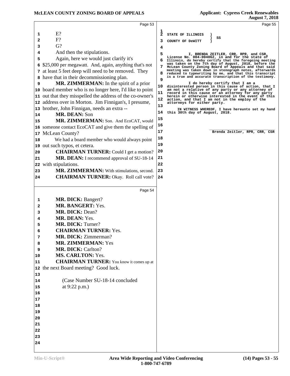| Page 53                                                                                                                                                                                                                                                                                                                                                                                                                                                                                                                                                                                                                                                                                                                                                                                            | Page 55                                                                                                                                                                                                                                                                                                                                                                                                                                                                                                                                                                                                            |
|----------------------------------------------------------------------------------------------------------------------------------------------------------------------------------------------------------------------------------------------------------------------------------------------------------------------------------------------------------------------------------------------------------------------------------------------------------------------------------------------------------------------------------------------------------------------------------------------------------------------------------------------------------------------------------------------------------------------------------------------------------------------------------------------------|--------------------------------------------------------------------------------------------------------------------------------------------------------------------------------------------------------------------------------------------------------------------------------------------------------------------------------------------------------------------------------------------------------------------------------------------------------------------------------------------------------------------------------------------------------------------------------------------------------------------|
| $E$ ?<br>1<br>$F$ ?<br>$\mathbf{2}$<br>$G$ ?<br>3<br>And then the stipulations.<br>4<br>Again, here we would just clarify it's<br>5<br>\$25,000 per megawatt. And, again, anything that's not<br>6<br>7 at least 5 feet deep will need to be removed. They                                                                                                                                                                                                                                                                                                                                                                                                                                                                                                                                         | $\frac{1}{2}$<br>STATE OF ILLINOIS<br>SS<br>з<br>COUNTY OF DeWITT<br>4<br>5<br>I, BRENDA ZEITLER, CRR, RPR, and CSR,<br>License No. 084-004062, in and for the state of<br>6<br>Illinois, do hereby certify that the foregoing meeting<br>was taken on the 7th day of August, 2018, before the<br>7<br>McLean County Zoning Board of Appeals and that said<br>meeting was taken down in stenograph notes, afterwards<br>8<br>reduced to typewriting by me, and that this transcript                                                                                                                                |
| have that in their decommissioning plan.<br>8<br>MR. ZIMMERMAN: In the spirit of a prior<br>9<br>board member who is no longer here, I'd like to point<br>10<br>out that they misspelled the address of the co-owner's<br>11<br>address over in Morton. Jim Finnigan's, I presume,<br>12<br>brother, John Finnigan, needs an extra --<br>13<br><b>MR. DEAN: Son</b><br>14<br>MR. ZIMMERMAN: Son. And EcoCAT, would<br>15<br>someone contact EcoCAT and give them the spelling of<br>16<br>McLean County?<br>17<br>We had a board member who would always point<br>18<br>out such typos, et cetera.<br>19<br><b>CHAIRMAN TURNER:</b> Could I get a motion?<br>20<br>MR. DEAN: I recommend approval of SU-18-14<br>21<br>with stipulations.<br>22<br>MR. ZIMMERMAN: With stimulations, second.<br>23 | is a true and accurate transcription of the testimony.<br>9<br>I do hereby certify that I am a<br>10<br>disinterested person in this cause of action, that I<br>am not a relative of any party or any attorney of<br>11<br>record in this cause or an attorney for any party<br>herein or otherwise interested in the event of this<br>12<br>action, and that I am not in the employ of the<br>attorneys for either party.<br>13<br>IN WITNESS WHEREOF, I have hereunto set my hand<br>14<br>this 30th day of August, 2018.<br>15<br>16<br>17<br>Brenda Zeitler, RPR, CRR, CSR<br>18<br>19<br>20<br>21<br>22<br>23 |
| <b>CHAIRMAN TURNER:</b> Okay. Roll call vote?<br>24                                                                                                                                                                                                                                                                                                                                                                                                                                                                                                                                                                                                                                                                                                                                                | 24                                                                                                                                                                                                                                                                                                                                                                                                                                                                                                                                                                                                                 |
| Page 54                                                                                                                                                                                                                                                                                                                                                                                                                                                                                                                                                                                                                                                                                                                                                                                            |                                                                                                                                                                                                                                                                                                                                                                                                                                                                                                                                                                                                                    |
| <b>MR. DICK: Bangert?</b><br>1<br>MR. BANGERT: Yes.<br>2<br>MR. DICK: Dean?<br>3<br>MR. DEAN: Yes.<br>4<br><b>MR. DICK: Turner?</b><br>5<br><b>CHAIRMAN TURNER: Yes.</b><br><b>MR. DICK: Zimmerman?</b><br>7<br>MR. ZIMMERMAN: Yes<br>8<br>MR. DICK: Carlton?<br>9<br><b>MS. CARLTON: Yes.</b><br>10<br><b>CHAIRMAN TURNER:</b> You know it comes up at<br>11<br>the next Board meeting? Good luck.<br>12<br>13<br>(Case Number SU-18-14 concluded<br>14<br>at 9:22 p.m.)<br>15<br>16<br>17<br>18<br>19<br>20<br>21                                                                                                                                                                                                                                                                                |                                                                                                                                                                                                                                                                                                                                                                                                                                                                                                                                                                                                                    |
| 22<br>23<br>24                                                                                                                                                                                                                                                                                                                                                                                                                                                                                                                                                                                                                                                                                                                                                                                     |                                                                                                                                                                                                                                                                                                                                                                                                                                                                                                                                                                                                                    |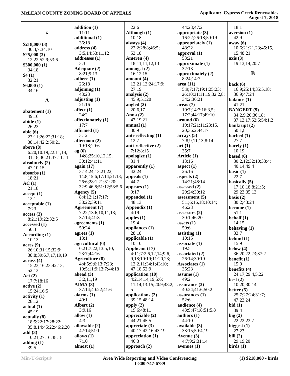#### **McLEAN COUNTY ZONING BOARD OF APPEALS Applicant: Cypress Creek Renewables**

**August 7, 2018**

|                         | addition $(1)$         | 22:6               |
|-------------------------|------------------------|--------------------|
|                         | 11:11                  | Although (1)       |
| \$                      |                        | 10:18              |
|                         | additional (1)         |                    |
| \$218,000(3)            | 36:18                  | always (4)         |
| 30:3,7;34:10            | address $(4)$          | 22:2;28:8;46:5     |
| \$25,000(3)             | 3:5,14;53:11,12        | 53:18              |
|                         | addresses (1)          | Ameren (4)         |
| 12:22;52:9;53:6         | 3:3                    |                    |
| \$300,000(1)            |                        | 18:11,11,12,13     |
| 34:18                   | Adequate (2)           | amongst $(2)$      |
| \$4(1)                  | 8:21;9:13              | 16:12,15           |
| 32:21                   | adhere $(1)$           | amount $(4)$       |
|                         | 26:18                  | 12:21;13:24;17     |
| \$6,000(1)              |                        |                    |
| 34:16                   | adjoining (1)          | 27:19              |
|                         | 43:23                  | analysis (2)       |
| A                       | adjusting (1)          | 45:9;51:20         |
|                         | 21:16                  | angled $(2)$       |
|                         | affect $(1)$           | 20:6,17            |
| abatement $(1)$         |                        |                    |
| 49:16                   | 24:2                   | Anna $(2)$         |
| abide $(1)$             | affectionately (1)     | 47:19,21           |
| 26:23                   | 17:7                   | annual(1)          |
|                         | affirmed (1)           | 30:9               |
| able $(6)$              |                        |                    |
| 23:11;26:22;31:18;      | 3:12                   | anti-reflecting (1 |
| 38:14;42:2;50:21        | afternoon (2)          | 12:7               |
| above $(8)$             | 19:18;20:6             | anti-reflective (2 |
|                         | ag(6)                  | 7:12;8:15          |
| 6:20;10:19;22:11,14;    | 14:8;25:10,12,15;      | apologize (1)      |
| 31:18;36:21;37:11,11    |                        |                    |
| absolutely (2)          | 30:12;41:11            | 31:4               |
| 47:10,15                | again (17)             | apparently $(1)$   |
| absorbs $(1)$           | 3:14,24;13:21,22;      | 42:24              |
| 18:21                   | 14:8;15:6;17:14;21:18; | appeals $(1)$      |
|                         | 26:6;28:1,21;31:20;    | 44:7               |
| AC(1)                   |                        |                    |
| 21:18                   | 32:9;46:8;51:12;53:5,6 | appears $(1)$      |
| accept(1)               | Agency (5)             | 9:17               |
| 13:1                    | 8:4;12:1;17:17;        | appended $(1)$     |
|                         | 38:22;39:11            | 48:13              |
| acceptable(1)           | Agreement (7)          | Appendix (1)       |
| 7:23                    |                        |                    |
| access(3)               | 7:22;13:6,10,11,13;    | 4:19               |
| 8:21;19:22;32:5         | 37:14;41:8             | apples $(1)$       |
| accessed(1)             | agreements $(1)$       | 19:4               |
| 50:3                    | 50:24                  | appliances (1)     |
|                         | agrees $(1)$           | 28:18              |
| According (1)           | 13:1                   | applicable (1)     |
| 10:13                   |                        |                    |
| acres(9)                | agricultural (6)       | 10:10              |
| 26:10;31:15;32:9;       | 6:21;7:22;13:5,10;     | Applicant (17)     |
| 38:8;39:6,7,17,19,19    | 23:7;44:16             | 4:11;7:2,6,12,1    |
|                         | Agriculture (8)        | 9,18;10:19;11:     |
| across(4)               | 4:4;5:9;6:13;7:23;     | 12:2,11;34:1;4     |
| 15:23;16:23;42:13;      |                        |                    |
| 52:13                   | 10:5;11:9;13:7;44:18   | 47:18;52:9         |
| Act(2)                  | ahead $(3)$            | application (10)   |
| 17:7;18:16              | 3:2,11,19              | 4:2,14,14,19;5     |
|                         | AIMA(3)                | 11:14;13:15;20     |
| active(2)               | 37:14;40:22;41:6       | 5                  |
| 15:24;16:5              |                        |                    |
| activity <sub>(1)</sub> | alarms $(1)$           | applications (2)   |
| 28:12                   | 40:1                   | 39:15;48:14        |
| actual(1)               | Albert (2)             | apply $(2)$        |
|                         | 3:9,16                 | 19:6;48:11         |
| 45:19                   |                        |                    |
| actually (8)            | allow $(1)$            | appreciable (2)    |
| 18:5;22:17;28:22;       | 4:3                    | 44:21;45:5         |
| 35:8,14;45:22;46:2,20   | allowable (2)          | appreciate $(3)$   |
|                         | 42:14;51:1             | 40:17;42:16;43     |
| add $(3)$               | allows (1)             | appreciation (1)   |
| 10:21;27:16;38:18       |                        | 46:3               |
| adding $(1)$            | 7:10                   |                    |
| 39:5                    | almost $(1)$           | approach $(2)$     |

 $28:8;46:5;$  18:11,11,12,13 12:21;13:24;17:9; **a** *flecting* (1) **a** *flective* (2) **antly (1) A**cant (17) 4:11;7:2,6,12,14;9:6, 9,18;10:19;11:20,23; 12:2,11;34:1;43:10; **ation** (10) 4:2,14,14,19;5:6; 11:14;13:15;20:9;48:2, ations (2) **ciable (2)**  40:17;42:16;43:19 *diation* (1) 16:22;26:18;50:19 **appropriately (1)** 48:22 **approval (1)** 53:21 **approximate (1)** 32:13 **approximately (2)** 8:24;14:7 **area (11)** 5:9;7:17;19:1;25:23; 26:10;31:11,19;32:2,8; 34:2;36:21 **areas (7)** 10:7;14:7;16:3,5; 17:2;44:17;49:10 **around (6)** 19:17;21:11;23:15, 20;36:2;44:17 **arrays (5)** 7:8,9,11,13;8:14 **art (1)** 35:7 **Article (1)** 13:16 **aspect (1)** 26:16 **aspects (2)** 14:21;48:14 **assessed (2)** 29:24;30:12 **assessment (5)** 5:1;6:16,18;10:14; 46:23 **assessors (2)** 30:1;46:20 **assets (1)** 50:6 **assisting (1)** 10:15 **associate (1)** 19:5 **associated (2)** 26:14;30:19 **Associates (1)** 35:23 **assume (1)** 49:2 **assurance (3)** 40:24;41:6;50:2 **assurances (1)** 52:6 **audience (4)** 43:9;47:18;51:5,8 **authors (1)** 44:10 **available (3)** 33:15;50:4,19 **Avenue (3)** 4:7;9:2;31:14 **avenues (1)**

 44:23;47:2 **appropriate (3)**

 18:1 **aversion (1)** 42:9 **away (6)** 10:6;21:21,23;45:15, 15;48:21 **axis (3)** 19:13,14;20:7

#### **B**

**back (6)** 16:9;25:14;35:5,18; 36:9;47:24 **balance (1)** 41:21 **BANGERT (9)** 34:2,9,20;36:18; 37:13,17;52:5;54:1,2 **bankrupt (2)** 50:1,8 **barbed (1)** 27:7 **barely (1)** 10:19 **based (6)** 30:2,12;32:10;33:4; 40:14;49:4 **basic (1)** 22:7 **basically (5)** 17:10;18:8;21:5; 29:23;35:13 **basis (2)** 30:2;43:24 **become (1)** 51:1 **behalf (1)** 14:15 **behaving (1)** 33:7 **behind (1)** 15:9 **below (4)** 36:20,22,23;37:2 **benefit (1)** 15:9 **benefits (4)** 24:17;29:4,5,22 **best (2)** 10:20;30:14 **better (5)** 25:7;27:24;31:7; 47:23,24 **bid (1)** 39:4 **big (2)** 22:22;23:7 **biggest (1)** 27:23 **bill (2)** 29:19,20 **birds (1)**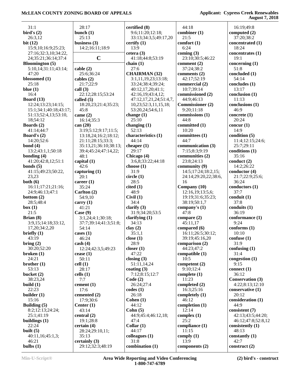| 31:1                   | 28:17                 | certified (8)          | 44:18                   | 16:19;49:8                   |
|------------------------|-----------------------|------------------------|-------------------------|------------------------------|
| bird's $(2)$           | bunch $(1)$           | 9:6;11:20;12:18;       | combiner (1)            | computed $(2)$               |
| 26:3,12                | 25:13                 | 33:13;34:3,5;49:17,20  | 21:5                    | 37:20;38:2                   |
| bit $(12)$             | business $(3)$        | certify $(1)$          | comfort $(1)$           | concentrated (1)             |
| 15:9,10;16:9;25:23;    | 14:2;16:11;18:9       | 13:9                   | 6:24                    | 18:24                        |
|                        |                       |                        |                         |                              |
| 27:16;32:3,10;34:22,   |                       | cetera $(3)$           | coming $(3)$            | concentrates (1)             |
| 24;35:21;36:14;37:4    | $\mathbf C$           | 41:18;44:8;53:19       | 23:10;30:5;46:22        | 19:1                         |
| <b>Bloomington</b> (5) |                       | chain $(1)$            | comment (2)             | concerning $(1)$             |
| 5:10,14;31:11;43:14;   | cable(2)              | 27:6                   | 37:24;38:2              | 51:8                         |
| 47:20                  | 25:6:36:24            | <b>CHAIRMAN (32)</b>   | comments $(2)$          | concluded (1)                |
| blossomed (1)          | cables $(2)$          | 3:1,11,19,23;13:18;    | 42:17;52:19             | 54:14                        |
| 25:18                  | 21:7;22:9             | 33:24;38:4;39:24;      | commercial (2)          | concludes (1)                |
|                        |                       |                        |                         |                              |
| blue $(1)$             | call $(3)$            | 40:12,17,20;41:1;      | 10:7;39:14              | 13:17                        |
| 16:4                   | 22:12;28:15;53:24     | 42:16,19;43:4,12;      | commissioned (2)        | conclusion (1)               |
| <b>Board</b> (13)      | called $(5)$          | 47:12,17,21,24;51:4,7, | 44:9:46:13              | 11:13                        |
| 12:24;13:23;14:15;     | 18:20,23;21:4;35:23;  | 10,23;52:3,11,15,18;   | <b>Commissioner (2)</b> | conclusions (1)              |
| 15:1;34:1;40:18;43:17; | 45:8                  | 53:20,24;54:6,11       | 9:20;11:18              | 46:9                         |
| 51:13;52:4,13;53:10,   | came (2)              | change $(1)$           | commissions (1)         | concrete $(1)$               |
|                        |                       |                        |                         |                              |
| 18;54:12               | 16:14;35:3            | 25:10                  | 44:8                    | 20:24                        |
| Boards (2)             | can $(20)$            | changing $(1)$         | committed (1)           | concur $(1)$                 |
| 41:14:44:7             | 3:19;5:12;9:17;11:5;  | 52:13                  | 10:20                   | 14:9                         |
| Board's $(2)$          | 13:18,24;16:2;18:12;  | characteristics (1)    | committees (1)          | condition (5)                |
| 14:20;52:6             | 21:11;28:15;33:3;     | 44:14                  | 44:7                    | 11:4;12:15;24:6;             |
|                        |                       |                        |                         |                              |
| bond $(4)$             | 35:13,21;36:10;38:13; | cheaper $(1)$          | communication (3)       | 25:7;29:11                   |
| 13:2;43:1,1;50:18      | 39:4;45:24;47:14,22;  | 29:17                  | 7:15;8:3;9:19           | conditions (1)               |
| bonding $(4)$          | 48:1                  | Chicago (4)            | communities (2)         | 35:16                        |
| 41:20;42:8,12;51:1     | capital (1)           | 3:6,8;33:22;44:18      | 23:8;24:13              | conduct(2)                   |
| bonds $(5)$            | 42:6                  | choose $(1)$           | community $(9)$         | 14:2;26:22                   |
| 41:15;49:23;50:22,     |                       | 31:9                   | 14:5;17:24;18:2,15;     | conductor $(4)$              |
|                        | capturing $(1)$       |                        |                         |                              |
| 23,23                  | 20:1                  | circle(1)              | 24:14;29:20,22;38:6,    | 21:7;22:9;25:6;              |
| both (6)               | career $(1)$          | 28:5                   | 16                      | 36:24                        |
| 16:11;17:21;21:16;     | 35:24                 | cited(1)               | Company (10)            | conductors(1)                |
| 24:9;46:13;47:1        | Carlton (2)           | 48:9                   | 12:16,19;13:5,6;        | 37:7                         |
| bottom $(2)$           | 54:9,10               | Civil(1)               | 19:19;31:6;35:23;       | $\text{conduit}(\mathbf{1})$ |
|                        |                       | 34:4                   |                         | 37:8                         |
| 28:5;48:4              | carry $(1)$           |                        | 38:19;50:1,7            |                              |
| box(1)                 | 41:21                 | clarify $(3)$          | company's $(1)$         | conduits $(1)$               |
| 21:5                   | Case (9)              | 31:9;34:20;53:5        | 47:8                    | 36:19                        |
| Brian $(8)$            | 3:1,24;4:1;30:18;     | clarifying $(1)$       | compare $(2)$           | conformance (1)              |
| 3:9,15;14:18;33:12,    | 37:7;39:14;41:3;51:8; | 34:13                  | 45:11,17                | 9:24                         |
| 17, 20; 34: 2, 20      | 54:14                 | clay(2)                | compared (6)            | conforms (1)                 |
|                        |                       |                        |                         |                              |
| briefly $(1)$          | cases (1)             | 35:1,1                 | 16:11;26:5;30:12;       | 10:10                        |
| 43:19                  | 46:24                 | close $(1)$            | 39:19;45:16,20          | confuse(1)                   |
| bring (2)              | $\cosh(4)$            | 28:9                   | comparison $(2)$        | 31:9                         |
| 30:20;52:20            | 12:24;42:3,5;49:23    | closer $(1)$           | 44:23;47:2              | confusing $(1)$              |
| broken $(1)$           | cease $(1)$           | 47:22                  | compatible $(1)$        | 31:4                         |
| 24:21                  | 50:11                 | closing $(3)$          | 10:5                    | congestion $(1)$             |
|                        |                       |                        |                         |                              |
| brother $(1)$          | cell(1)               | 51:11,14,24            | competent $(2)$         | 9:15                         |
| 53:13                  | 28:17                 | coating $(3)$          | 9:10;12:4               | connect (1)                  |
| bucket $(2)$           | cells $(1)$           | 7:12;8:15;12:7         | complete $(1)$          | 36:12                        |
| 38:23,24               | 7:7                   | Code(2)                | 11:23                   | <b>Conservation (3)</b>      |
| build $(1)$            | cement $(1)$          | 26:24;27:4             | completed $(2)$         | 4:22;8:13;12:10              |
| 22:23                  | 17:6                  | codes(1)               | 16:3;25:16              | conservative (1)             |
|                        |                       |                        |                         |                              |
| builder $(1)$          | cemented (2)          | 26:18                  | completely (1)          | 20:12                        |
| 15:16                  | 17:9;30:6             | Cohen $(1)$            | 46:12                   | consideration (1)            |
| Building $(5)$         | Center $(1)$          | 44:12                  | completion $(1)$        | 44:9                         |
| 8:2;12:13;24:24;       | 43:14                 | Cohn $(5)$             | 12:14                   | consistent (7)               |
| 25:1;41:19             | central $(2)$         | 44:9:45:4:46:12,18;    | complex $(1)$           | 42:13;43:5;44:20;            |
|                        |                       | 47:4                   | 25:2                    |                              |
| buildings $(1)$        | 19:1;28:8             |                        |                         | 46:12;47:8;52:8,12           |
| 22:24                  | certain(4)            | Collar $(1)$           | compliance (1)          | consistently (1)             |
| built $(5)$            | 28:24;29:10,11;       | 44:17                  | 11:15                   | 48:13                        |
| 40:11,16;45:1,3;       | 35:13                 | colleagues (1)         | comply $(1)$            | constantly $(1)$             |
| 46:21                  | certainly $(3)$       | 31:8                   | 13:9                    | 42:7                         |
| bulbs $(1)$            | 29:12;32:3;48:19      | combination (1)        | components (2)          | construct $(2)$              |
|                        |                       |                        |                         |                              |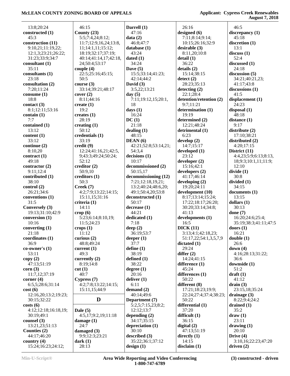| 13:8;20:24           | 46:15                 | Darrell (1)          | 26:16                   | 46:5                  |
|----------------------|-----------------------|----------------------|-------------------------|-----------------------|
| constructed (1)      | County $(23)$         | 47:16                | designed (6)            | discrepancy (1)       |
| 45:3                 | 5:5;7:4,24;8:12;      | data(2)              | 7:11;8:14;9:14;         | 45:18                 |
| construction (11)    | 11:7;12:9,16,24;13:8, | 46:8;47:7            | 10:15;26:16;32:9        | discretion (1)        |
| 9:10,21;11:19,22;    | 11;14:1,11;15:12;     | database $(1)$       | desirable (3)           | 13:1                  |
| 12:1,3;23:21;26:22;  | 18:19:32:17:37:19:    | 43:24                | 8:11,20;10:8            | discuss(1)            |
| 31:23;33:9;34:7      | 40:14;41:14,17;42:18, | dated $(1)$          | delta(1)                | 52:4                  |
| consultant (1)       | 24;50:4;53:17         | 34:24                | 36:22                   | discussed $(1)$       |
|                      |                       |                      |                         |                       |
| 35:11                | couple $(4)$          | Dave $(5)$           | details(2)              | 24:18                 |
| consultants (1)      | 22:5;25:16;45:15;     | 15:5;33:14;41:23;    | 15:14;38:15             | discussion $(5)$      |
| 23:18                | 50:5                  | 42:14:44:2           | $\text{detect}(2)$      | 34:21;40:21,23;       |
| consultation (2)     | course $(3)$          | David $(3)$          | 28:23;35:13             | 41:17;43:8            |
| 7:20;11:24           | 33:14;39:21;48:17     | 3:5,22;13:21         | detecting (2)           | discussions $(1)$     |
| consume $(1)$        | cover (2)             | day $(5)$            | 22:1;28:4               | 41:5                  |
| 18:8                 | 8:11;44:16            | 7:11;19:12,15;20:1,  | detention/retention (2) | displacement (1)      |
| contact $(3)$        | create $(1)$          | 18                   | 9:7;11:21               | 24:23                 |
| 8:1;12:11;53:16      | 19:2                  | days $(1)$           | determination (1)       | disposal (1)          |
| contain(1)           | creates $(1)$         | 16:24                | 19:19                   | 48:18                 |
| 7:7                  | 28:19                 | DC(1)                | determined (2)          | distance (1)          |
| contained (1)        | creating $(1)$        | 21:18                | 12:21;48:24             | 9:17                  |
|                      | 50:12                 |                      |                         | distribute (2)        |
| 13:12                |                       | dealing $(1)$        | detrimental (1)         |                       |
| content (1)          | credentials (1)       | 48:15                | 6:23                    | 17:10;38:21           |
| 33:12                | 33:19                 | DEAN(6)              | develop $(2)$           | distributed (2)       |
| continue (2)         | $\text{credit}(9)$    | 42:21;52:8;53:14,21; | 14:7;15:17              | 4:20;17:15            |
| 8:10,20              | 12:24;41:16,21;42:5,  | 54:3,4               | developed (1)           | District (11)         |
| contract $(1)$       | 9;43:3;49:24;50:24;   | decisions(1)         | 23:12                   | 4:4,23;5:9;6:13;8:13, |
| 49:18                | 52:12                 | 10:17                | developer (2)           | 18;9:3;10:1,11;11:9;  |
| contractor $(2)$     | creditor (2)          | decommissioned (2)   | 15:16:42:1              | 12:10                 |
| 9:11;12:4            | 50:9,10               | 50:15,17             | developers (2)          | divide(1)             |
| contributed (1)      | creditors (1)         | decommissioning (12) | 41:17:46:14             | 30:8                  |
| 38:10                | 50:3                  | 7:21;12:18,19,21;    | developing (2)          | divided (1)           |
| control(2)           | Creek (7)             | 13:2;40:24;48:6,20;  | 19:20;24:11             | 34:15                 |
| 26:21;34:6           | 4:2;7:9;13:22;14:15;  | 49:1;50:4,20;53:8    | development (10)        | documents (1)         |
| conventions (1)      | 15:11,15;31:16        | deconstructed (1)    | 8:17;13:14;15:24;       | 13:15                 |
| 31:5                 | criteria (1)          | 50:17                | 17:22;18:17;26:20;      | dollars $(1)$         |
| Conversely (3)       | 14:11                 | decrease(1)          | 30:20;33:14;34:8;       | 30:13                 |
| 19:13;31:10;42:9     | $\text{crop}(6)$      | 44:21                | 41:13                   | done $(7)$            |
| conversion (1)       | 5:23;6:14;8:10,19;    | dedicated (1)        | developments (1)        | 16:20;24:6;25:4;      |
| 10:16                |                       | 7:18                 | 16:5                    |                       |
|                      | 11:5;24:23            |                      |                         | 35:19;38:3;41:11;47:5 |
| converting $(1)$     | crops(1)              | deep $(2)$           | DICK(11)                | doors $(1)$           |
| 21:18                | 11:12                 | 36:19;53:7           | 3:13;4:1;42:18,23;      | 16:21                 |
| coordinates $(1)$    | curious $(2)$         | deeper $(1)$         | 51:17,22;54:1,3,5,7,9   | double(1)             |
| 36:9                 | 48:8;49:24            | 37:7                 | dictated(1)             | 26:6                  |
| $co-owner's(1)$      | current $(1)$         | define $(1)$         | 29:24                   | down $(4)$            |
| 53:11                | 49:3                  | 38:19                | differ $(2)$            | 4:16;28:13;31:22;     |
| copy(2)              | currently $(2)$       | defined $(1)$        | 14:24;41:15             | 36:6                  |
| 47:13;51:19          | 8:19:14:8             | 38:22                | difference (1)          | downside (1)          |
| corr(3)              | cut(1)                | degree(1)            | 45:24                   | 51:2                  |
| 11:7,12;37:19        | 40:7                  | 20:16                | differences (1)         | $dr$ aft $(1)$        |
| corner $(4)$         | Cypress(7)            | deliver $(1)$        | 50:22                   | 41:12                 |
| 6:5,5;28:6;31:14     | 4:2;7:8;13:22;14:15;  | 6:11                 | different (8)           | drain(3)              |
| cost(6)              | 15:11,15;44:9         | demand $(2)$         | 17:21;18:23;19:9;       | 23:15,18;35:24        |
| 12:16,20;13:2;19:23; |                       | 40:14;49:6           | 22:24;27:4;37:4;38:23;  | drainage $(3)$        |
| 30:15;32:22          | D                     | Department (7)       | 50:22                   | 8:22;9:4;24:2         |
|                      |                       |                      |                         |                       |
| costs(6)             |                       | 5:2,5;7:15,23;8:2;   | differential (1)        | drained $(1)$         |
| 4:12;12:18;16:18,19; | Dale $(5)$            | 12:12;13:7           | 37:20                   | 35:2                  |
| 30:19;49:1           | 4:5,17;9:2,19;11:18   | depending $(2)$      | difficult $(1)$         | draw(1)               |
| counsel $(3)$        | damage $(1)$          | 34:17;35:15          | 36:15                   | 23:11                 |
| 13:21,23;51:13       | 24:7                  | depreciation (1)     | digital $(2)$           | drawing $(1)$         |
| Counties (2)         | damaged $(3)$         | 30:10                | 47:13;51:19             | 20:10                 |
| 44:17;46:20          | 9:9;12:3;23:21        | described $(3)$      | directly $(1)$          | Drive $(4)$           |
| country $(4)$        | dark(1)               | 35:22;36:1;37:12     | 14:15                   | 3:10,16;22:23;47:20   |
| 15:24;16:23;24:12;   | 28:13                 | design(1)            | disclaim(1)             | driven $(2)$          |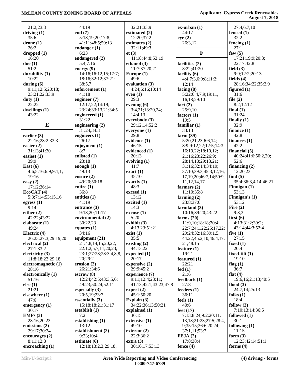|                                | 44:19                                 |                             |                               |                                 |
|--------------------------------|---------------------------------------|-----------------------------|-------------------------------|---------------------------------|
| 21:2;23:3                      |                                       | 32:21;33:9                  | $ex-urban(1)$                 | 27:4,6,7,10                     |
| driving $(1)$                  | end $(7)$                             | estimated (2)               | 44:17                         | fenced $(1)$                    |
| 35:6                           | 5:18,19,20;17:8;                      | 12:20;37:2                  | eye(2)                        | 32:2                            |
| drone(1)                       | 41:11;48:5;50:13                      | estimates $(2)$             | 26:3,12                       | fencing $(1)$                   |
| 26:2                           | endanger $(1)$                        | 32:11;49:3                  |                               | 27:1                            |
| dropped(1)                     | 6:23                                  | et(3)                       | $\mathbf{F}$                  | few $(5)$                       |
| 16:20                          | endangered (2)                        | 41:18;44:8;53:19            |                               | 17:21;19:9;20:3;                |
| due $(1)$                      | 5:4;7:16                              | ethanol $(3)$               | facilities (2)                | 22:17;32:8                      |
| 51:2                           | energy $(9)$                          | 11:7;37:20,21               | 8:22;41:20                    | field $(3)$                     |
| durability $(1)$               | 14:16;16:12,15;17:7;                  | Europe $(1)$                | facility (6)                  | 9:9;12:2;20:13                  |
| 10:22                          | 18:16;32:12;37:21;                    | 49:6                        | 4:4;7:3,6;9:8;11:2;           | fields $(4)$                    |
| during $(6)$                   | 38:5,7                                | evaluation (3)              | 12:14                         | 28:16;34:22;35:2,9              |
| 9:11;12:5;20:18;               | enforcement (1)                       | 4:24;6:16;10:14             | facing $(8)$                  | figured $(1)$                   |
| 23:21,22;33:9                  | 41:18                                 | even $(1)$                  | 5:22;6:4,7,9;19:11,           | 31:6                            |
| duty $(1)$                     | engineer $(7)$                        | 29:3                        | 16, 18; 29: 10                | file $(2)$                      |
| 22:22                          | 12:17,22;14:19;                       | evening (6)                 | fact $(2)$                    | 8:2;12:12                       |
| dwellings $(1)$                | 23:24;33:13,21;34:5                   | 3:4,21;13:20,24;            | 25:9,10                       | final $(1)$                     |
| 43:22                          | engineered $(1)$                      | 14:4,13                     | factors $(1)$                 | 31:24                           |
| ${\bf E}$                      | 31:22                                 | everybody $(3)$             | 19:5                          | finally $(1)$                   |
|                                | engineering $(2)$                     | 29:12,14;52:2               | familiar $(1)$                | 32:9                            |
|                                | 31:24;34:3                            | everyone $(1)$              | 33:13                         | finance $(1)$                   |
| earlier $(3)$                  | engineers $(1)$                       | 29:8                        | farm $(39)$                   | 42:8                            |
| 22:16;28:2;33:3                | 26:17                                 | evidence (1)                | 5:20,21,23;6:6,14;            | finances $(1)$                  |
| easier $(2)$                   | enjoyment $(1)$                       | 46:15                       | 8:9:9:12,22:12:5:14:3:        | 42:2                            |
| 31:13;41:20                    | 8:7                                   | evidenced (1)               | 16:19,22;18:10,12;            | financial $(5)$                 |
| easiest (1)                    | enlisted (1)                          | 20:13                       | 21:16;23:22;26:9;             | 40:24;41:6;50:2,20;             |
| 39:9                           | 23:18                                 | evolving (1)                | 28:14,18;29:13,21;            | 52:6                            |
| East $(6)$                     | enough $(1)$                          | 41:7                        | 31:16;32:14;34:19;            | financing $(2)$                 |
| 4:6;5:16;6:9;9:1,1;            | 49:13                                 | exact(1)                    | 37:10;39:3;45:3,12,16,        | 12:20,23                        |
| 19:16                          | ensure $(2)$                          | 35:10                       | 17, 19, 20; 46: 7, 14; 50: 9, | find $(5)$                      |
| easy $(2)$                     | 49:20;50:18                           | exactly $(1)$               | 11, 12, 14, 17                | 35:4;36:3,4,14;46:21            |
|                                |                                       |                             |                               |                                 |
| 17:12;36:14                    | entire $(1)$                          | 48:3                        | farmers $(2)$                 | Finnigan $(1)$                  |
| EcoCAT(4)                      | 36:8                                  | exceed (1)                  | 11:10;35:8                    | 53:13                           |
| 5:3;7:14;53:15,16              | entities $(1)$                        | 13:12                       | farming $(2)$                 | Finnigan's $(1)$                |
| egress $(1)$                   | 41:19                                 | excited $(1)$               | 23:8;37:6                     | 53:12                           |
| 9:14                           | entrance $(3)$                        | 14:3                        | farmland $(3)$                | Fire $(2)$                      |
| either $(2)$                   | 9:18,20;11:17                         | excuse (1)                  | 10:16;39:20;43:22             | 9:3,3                           |
| 42:22;43:22                    | environmental (2)                     | 5:20                        | farms $(20)$                  | first $(6)$                     |
| elaborate (1)                  | 30:22,23                              | exhibit $(3)$               | 11:9,10;18:18;20:4;           | 4:13;31:2;39:2;                 |
| 49:24                          | equates $(1)$                         | 4:13,23;51:21               | 22:7;24:1,22;25:17,22;        | 43:14:44:3:52:4                 |
| Electric $(4)$                 | 34:16                                 | exist(1)                    | 29:24;32:16;39:1,5;           | five $(1)$                      |
| 26:23;27:3;29:19,20            | equipment $(21)$                      | 35:5                        | 44:22;45:2,10;46:4,17,        | 27:15                           |
| electrical (2)                 | 21:4,8,14,15,20,22;                   | existing $(2)$              | 21;48:15                      | fixed $(1)$                     |
| 27:1;33:2                      | 22:1,2,5,7,11,20,23;                  | 44:13,22                    | feature $(1)$                 | 20:4                            |
| electricity $(3)$              | 23:1;27:23;28:3,4,8,8,                | expected $(1)$              | 19:21                         | fixed-tilt $(1)$                |
| 11:8;18:22;29:18               | 20:29:2                               | 20:17                       | featured (1)                  | 19:10                           |
| electromagnetic (1)            | erosion $(2)$                         | expensive $(2)$             | 22:21                         | flag $(1)$                      |
| 28:16                          | 26:21;34:6                            | 29:9;45:2                   | fed(1)                        | 36:7                            |
| electronically (1)             | escrow(8)                             | experience (7)              | 21:6                          | flat $(4)$                      |
| 51:16                          | 12:24;42:5;43:3,5,6;                  | 9:11;12:4;23:11;            | feedback (1)                  | 19:6,16;21:13;40:5              |
| else(1)                        | 49:23;50:24;52:11                     | 41:13;42:1;43:23;47:8       | 27:8                          | flood $(3)$                     |
| 21:21                          | especially $(3)$                      | expert $(2)$                | feedbacks(1)                  | 24:7,14;25:13                   |
| elsewhere (1)                  | 20:5,19;23:7                          | 45:1;50:20                  | 36:11                         | folks $(1)$                     |
| 47:6                           | essentially $(3)$                     | Explain $(3)$               | feels $(1)$                   | 18:4                            |
| emergency $(1)$                | 15:18:18:21:31:17                     | 34:22;36:13;50:21           | 40:6                          | follow $(3)$                    |
| 30:17                          | establish $(1)$                       | explained (1)               | feet $(17)$                   | 7:10;13:14;36:5                 |
| EMFs $(3)$                     | 7:2                                   | 36:15                       | 7:13;8:24;9:2;20:11,          | followed $(1)$                  |
| 28:16,20,23                    | establishing $(1)$                    | extensive (1)               | 13, 18; 21: 23; 27: 5; 28: 4, | 30:1                            |
| emissions $(2)$                | 13:12                                 | 49:10                       | 9;35:15;36:6,20,24;           | following $(1)$                 |
| 29:17:30:24                    | establishment (2)                     | exterior $(2)$              | 37:1,11;53:7                  | 11:15                           |
| encourages $(2)$               | 9:23;10:4                             | 22:3;36:2                   | FEJA(2)                       | form $(3)$                      |
| 8:11;12:8<br>encroaching $(1)$ | estimate $(6)$<br>12:18;13:2,3;29:18; | extra (3)<br>30:16,17;53:13 | 17:8;38:4<br>fence $(4)$      | 12:23;42:14;51:1<br>forms $(4)$ |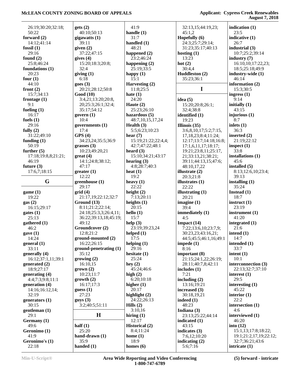|                     |                          |                       |                           | August 7, 2010         |
|---------------------|--------------------------|-----------------------|---------------------------|------------------------|
| 26:19;30:20;32:18;  | gets(2)                  | 41:9                  | 32:13,15;44:19,23;        | indication $(1)$       |
| 50:22               | 40:10:50:13              | handle $(1)$          | 45:1,2                    | 23:5                   |
| forward $(2)$       |                          | 31:7                  | Hopefully (6)             | indicative (1)         |
|                     | gigawatts (1)            |                       |                           |                        |
| 14:12;41:14         | 39:11                    | handled $(1)$         | 24:3;25:7;29:14;          | 26:7                   |
| fossil $(1)$        | given $(2)$              | 48:21                 | 31:23;35:17;40:13         | industrial $(3)$       |
| 29:16               | 37:22;47:15              | happened (2)          | hosting $(1)$             | 10:7;25:2;39:14        |
| found $(2)$         | gives $(4)$              | 23:2;46:24            | 13:23                     | industry $(7)$         |
| 25:8;46:24          | 15:20;18:3;20:8;         | happening $(2)$       | hot $(2)$                 | 16:10,10;17:22,23;     |
| foundations (1)     | 32:4                     | 25:19;33:5            | 30:4,4                    | 18:5;25:18;49:9        |
| 20:23               | giving $(1)$             | happy $(1)$           | Huddleston (2)            | industry-wide (1)      |
| four $(1)$          | 6:18                     | 15:1                  | 35:23;36:1                | 46:14                  |
| 44:10               | goes(3)                  | Harvesting (2)        |                           | information $(2)$      |
| front $(2)$         | 20:21;28:12;50:8         | 11:8;25:5             | $\mathbf I$               | 15:3;30:5              |
| 15:7;34:13          | Good(10)                 | hate $(1)$            |                           | ingress $(1)$          |
| frontage $(1)$      | 3:4,21;13:20;20:8,       | 24:20                 | idea $(5)$                | 9:14                   |
| 9:1                 | 20;25:3;26:1;32:4;       | Haute $(2)$           | 15:20;20:8;26:1;          | initially $(1)$        |
| fueling $(1)$       | 35:17;54:12              | 25:23;26:10           | 32:4;38:8                 | 43:15                  |
| 16:17               | govern $(1)$             | hazardous $(5)$       | identified (1)            | injurious (1)          |
| fuels $(1)$         | 10:4                     | 48:7,10,15,17,24      | 19:23                     | 8:7                    |
| 29:16               |                          |                       |                           | inlets $(1)$           |
|                     | governments $(1)$        | Health $(3)$          | Illinois $(35)$           |                        |
| fully $(2)$         | 17:4                     | 5:5;6:23;10:23        | 3:6,8,10,17;5:2;7:15,     | 36:3                   |
| 31:22;49:10         | GPS(4)                   | hear $(7)$            | 17, 18, 23; 8: 4; 11: 24; | inserted (2)           |
| funding $(1)$       | 34:23,24;35:5;36:9       | 15:19;21:22;22:4,4;   | 12:17;13:7;14:18;16:8;    | 21:19;22:12            |
| 50:19               | grasses $(3)$            | 42:7;47:22;48:1       | 17:1,6,11,17;18:17;       | inspect $(1)$          |
| further $(5)$       | 10:23;49:20,21           | heard $(3)$           | 19:21;23:8,11;25:17,      | 33:8                   |
| 17:18;19:8,8;21:21; | $gr(4)$                  | 15:10:34:21:43:17     | 21;33:13,21;38:21;        | installations (1)      |
| 46:19               | 14:1;24:8;38:12;         | hearing $(3)$         | 39:11;44:13,15;47:6;      | 45:6                   |
| future $(3)$        | 47:17                    | 4:8;28:7;40:3         | 48:10,17,22               | installed $(5)$        |
| 17:6,7;18:15        | greater(1)               | heat $(1)$            | illustrate $(2)$          | 8:13;12:6,10;23:4;     |
|                     | 12:22                    | 19:2                  | 20:3;21:8                 | 39:13                  |
| G                   | greenhouse (1)           | heavy $(1)$           | illustrates $(1)$         | installing $(1)$       |
|                     | 29:17                    | 22:22                 | 22:22                     | 35:24                  |
| game(1)             | grid(4)                  | height $(2)$          | illustrating $(1)$        | Instead $(1)$          |
| 19:22               | 21:17,19;22:12;32:7      | 7:13;20:11            | 20:21                     | 18:7                   |
| gas(2)              | Ground (13)              | heights $(1)$         | imagine $(1)$             | instruct $(1)$         |
| 16:15;29:17         | 8:11;21:2;22:14;         | 20:15                 | 39:4                      | 23:19                  |
| gates(1)            | 24:18;25:3,3;26:4,11;    | hello $(1)$           | immediately (1)           | instrument $(1)$       |
| 25:13               | 36:22;39:13,18;45:19;    | 15:7                  | 4:5                       | 41:20                  |
|                     | 49:12                    | help $(3)$            | Impact $(14)$             | integrated (1)         |
| gathered (1)        |                          |                       |                           |                        |
| 46:2                | Groundcover (2)          | 23:19;39:23,24        | 7:22;13:6,10;23:7,9;      | 21:6                   |
| gave(1)             | 12:8;21:2                | helped $(1)$          | 30:23,23;43:16,21;        | intend $(1)$           |
| 14:24               | ground-mounted (2)       | 17:5                  | 44:5;45:5;46:1,16;49:1    | 14:7                   |
| general (1)         | 16:22;26:15              | helping $(1)$         | impede $(1)$              | intended (1)           |
| 33:11               | $ground-penetrating (1)$ | 29:16                 | 8:16                      | 33:7                   |
| generally (4)       | 35:12                    | hesitate $(1)$        | important (8)             | intent $(1)$           |
| 16:12;37:1,11;39:1  | growing (2)              | 25:24                 | 21:15;24:1,22;26:19;      | 10:1                   |
| generated $(2)$     | 16:10,15                 | hey $(2)$             | 28:11;40:7,8;42:11        | interconnection (3)    |
| 18:9;27:17          | $grown$ (2)              | 45:24;46:6            | includes $(1)$            | 22:13;32:7;37:10       |
| generating (4)      | 10:23:11:7               | high $(2)$            | 7:21                      | interest $(1)$         |
| 4:4;7:3;9:8;11:1    | growth(2)                | 6:20;10:18            | including $(2)$           | 29:5                   |
| generation (4)      | 16:17:17:3               | higher $(1)$          | 13:16;19:21               | interesting $(1)$      |
| 14:16:16:12,14;     | guess $(1)$              | 20:17                 | increased (3)             | 45:22                  |
| 32:19               | 27:23                    | highlight $(2)$       | 30:18,19,21               | interior $(1)$         |
| generators $(1)$    | gays(3)                  | 24:22;26:13           | indeed (1)                | 22:2                   |
| 30:15               | 3:2;40:5;51:11           | Hills $(2)$           | 48:23                     | intersection (1)       |
|                     |                          | 3:10,16               | Indiana (3)               | 4:6                    |
| gentleman (1)       | $\mathbf H$              |                       |                           |                        |
| 29:1                |                          | hiring $(1)$          | 23:13;25:22;44:14         | interviewed (1)        |
| Germany (1)         |                          | 12:17                 | indicated (1)             | 46:20                  |
| 49:6                | half $(1)$               | <b>Historical</b> (2) | 43:15                     | into $(12)$            |
| Geronimo (1)        | 25:20                    | 8:4;11:24             | indicates (3)             | 15:1,13;17:8;18:22;    |
| 41:9                | hand-drawn (1)           | home $(1)$            | 7:6,12;10:20              | 19:1;21:2,17,19;22:12; |
| Geronimo's (1)      | 35:9                     | 18:9                  | indicating $(2)$          | 32:7;36:21;43:6        |
| 22:18               | handed $(1)$             | homes $(6)$           | 5:6;7:16                  | intricate $(1)$        |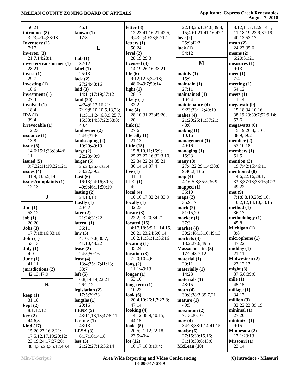| 50:21                     | 46:1                          | letter $(8)$          | 22:18;25:1;34:6;39:8,    | 8:12;11:7;12:9;14:1,    |
|---------------------------|-------------------------------|-----------------------|--------------------------|-------------------------|
| introduce (3)             | known $(1)$                   | 12:23;41:16,21;42:5,  | 15;40:1,21;41:16;47:1    | 11;18:19;23:9;37:19;    |
| 3:23;4:14;33:18           | 17:8                          | 9;43:2;49:23;52:12    | love $(2)$               | 40:13:53:17             |
| <b>Inventory</b> $(1)$    |                               | letters $(1)$         | 25:9;42:2                | mean $(2)$              |
| 7:17                      | L                             | 50:24                 | luck $(1)$               | 24:23;35:6              |
| inverter $(3)$            |                               | level $(2)$           | 54:12                    | means $(2)$             |
| 21:7,14;28:1              | Lab $(1)$                     | 28:19;29:3            |                          | 6:20;31:21              |
| inverter/transformer (1)  | 32:12                         | licensed $(3)$        | $\mathbf{M}$             | measures (1)            |
| 28:21                     | label $(1)$                   | 14:19;26:16;33:21     |                          | 9:13                    |
| invest $(1)$              | 25:13                         | life $(6)$            | mainly $(1)$             | meet $(1)$              |
| 29:7                      |                               |                       | 15:9                     | 7:4                     |
|                           | lack $(2)$                    | 9:12;12:5;34:18;      |                          |                         |
| investing $(1)$           | 27:24;48:16                   | 48:6;49:7;50:14       | maintain(1)              | meeting $(1)$           |
| 18:6                      | laid $(3)$                    | light $(1)$           | 27:11                    | 54:12                   |
| investment (1)            | 14:11;17:19;37:12             | 28:17                 | maintained (1)           | meets $(1)$             |
| 27:3                      | land $(20)$                   | likely $(1)$          | 10:24                    | 11:14                   |
| involved (1)              | 4:24;6:12,16,21;              | 32:2                  | maintenance (4)          | megawatt(9)             |
| 18:4                      | 7:19;8:10;10:5,13,23;         | line $(4)$            | 9:23;33:1,2;49:19        | 15:18;34:10,16;         |
| IPA(1)                    | 11:5, 11: 24: 6, 8, 9; 25: 7, | 28:10;31:23;45:20,    | makes $(4)$              | 38:19,23;39:7;52:9,14;  |
| 39:4                      | 15;33:14;37:22;38:8;          | 20                    | 21:20;25:11;37:21;       | 53:6                    |
| irrevocable (1)           | 40:4                          | link(1)               | 48:6                     | megawatts $(6)$         |
| 12:23                     | landowner (2)                 | 27:6                  | making (1)               | 15:19;26:4,5,10;        |
| issuance $(1)$            | 24:9;37:6                     | literally $(1)$       | 10:16                    | 38:9:39:2               |
| 13:8                      | landscaping $(2)$             | 21:13                 | management $(1)$         | member $(2)$            |
|                           | 10:20;49:19                   |                       | 49:16                    | 53:10,18                |
| issue $(5)$               |                               | little $(15)$         |                          |                         |
| 14:6;15:1;33:8;44:6,      | large $(2)$                   | 15:8,10,11;16:9;      | managing $(1)$           | members $(1)$           |
| 11                        | 22:23;49:9                    | 25:23;27:16;32:3,10,  | 15:23                    | 51:5                    |
| issued $(5)$              | larger(5)                     | 22;34:22,24;35:21;    | $\max(8)$                | mention $(3)$           |
| 9:7,22;11:19,22;12:1      | 25:23;26:6;32:4;              | 36:14,14;37:4         | 27:4,22;29:1,4;38:8,     | 19:7;42:15;46:11        |
| issues $(4)$              | 38:22;39:2                    | live $(1)$            | 9;40:2;43:6              | mentioned (8)           |
| 31:9;33:5,5,14            | Last $(6)$                    | 41:11                 | map(4)                   | 14:6;22:16;28:1;        |
| issues/complaints (1)     | 16:13;24:16;30:5;             | LLC(1)                | 4:16;5:8;35:5;36:9       | 33:3;37:18;38:16;47:3;  |
| 12:13                     | 40:9;46:11;50:10              | 4:2                   | mapped $(1)$             | 49:22                   |
|                           | lasting $(2)$                 | local $(4)$           | 35:10                    | met(9)                  |
| ${\bf J}$                 | 24:13,13                      | 10:16,17;32:24;33:9   | maps $(2)$               | 7:1;8:8,19,23;9:16;     |
|                           | Lastly $(1)$                  | locally $(1)$         | 35:9,17                  | 10:2,12;14:10;33:15     |
| $\text{Jim} (1)$          | 49:22                         | 32:23                 | mark(2)                  | method (1)              |
| 53:12                     |                               | locate $(3)$          | 51:15,20                 | 36:17                   |
|                           | later $(2)$<br>21:24;31:22    | 22:2;23:20;34:21      |                          |                         |
| job(1)                    |                               |                       | marker $(1)$             | methodology (1)<br>45:8 |
| 20:20                     | lateral $(1)$                 | located $(16)$        | 37:3                     |                         |
| $\textbf{Jobs}$ (3)       | 36:11                         | 4:17,18;5:9,11,14,15, | market $(4)$             | Michigan (1)            |
| 17:7;18:16;33:10          | law(5)                        | 20,21,23,24;6:6,14;   | 30:2;46:15,16;49:13      | 3:8                     |
| John(1)                   | 4:10;17:8;30:7;               | 10:2,11;31:11;36:16   | markets $(3)$            | microphone(1)           |
| 53:13                     | 41:10:48:22                   | locationg(1)          | 18:2;27:6;49:5           | 47:22                   |
| July $(1)$                | lease $(2)$                   | 35:24                 | <b>Massachusetts (3)</b> | midday $(1)$            |
| 4:9                       | 24:5;50:16                    | location $(3)$        | 17:2;48:7,12             | 21:11                   |
| June $(1)$                | least $(4)$                   | 7:20;10:4,6           | material $(1)$           | Midwestern (2)          |
| 41:11                     | 13:4:35:17:41:13;             | long(2)               | 29:11                    | 23:12,13                |
| jurisdictions (2)         | 53:7                          | 11:1;49:13            | materially $(1)$         | might $(3)$             |
| 42:13;47:9                | left(5)                       | longer $(1)$          | 14:23                    | 37:5,6;39:6             |
|                           | 6:8;14:14;22:21;              | 53:10                 | materials $(1)$          | mile $(1)$              |
| K                         | 26:2,12                       | long-term $(1)$       | 48:15                    | 45:15                   |
|                           |                               | 10:22                 | math(4)                  | millage $(1)$           |
|                           | legislation (2)               |                       |                          |                         |
| keep(1)                   | 17:5:29:23                    | look $(6)$            | 30:8;38:3;39:7,21        | 34:17                   |
| 31:18                     | lengths $(1)$                 | 20:4,10:26:1,7;27:8;  | mature $(1)$             | million $(3)$           |
| kept(2)                   | 20:16                         | 47:14                 | 49:5                     | 32:22,22;39:19          |
| 8:1;12:12                 | LENZ $(5)$                    | looking $(4)$         | maximum (2)              | minimal(1)              |
| key(2)                    | 43:11,13,13;47:5,11           | 14:12;38:9;40:15;     | 7:13;20:10               | 27:20                   |
| 44:6,8                    | L-e-n-z $(1)$                 | 44:15                 | may(4)                   | minimize(1)             |
| $\operatorname{kind}(17)$ | 43:13                         | looks $(5)$           | 34:23;38:1,14;41:15      | 9:15                    |
| 15:20,23;16:2,21;         | LESA $(3)$                    | 20:5;21:12;22:18;     | maybe $(6)$              | Minnesota (2)           |
| 17:5, 12, 17, 19; 20: 12; | 6:17;10:14,18                 | 23:5;40:4             | 27:15;30:15,16;          | 17:1;23:13              |
| 23:19;24:17;27:20;        | less(3)                       | lot(12)               | 31:13;33:6;43:6          | Missouri (1)            |
| 30:4;35:23;36:12;40:4;    | 21:22;27:16;36:14             | 16:17;18:3;19:4;      | McLean (10)              | 23:14                   |
|                           |                               |                       |                          |                         |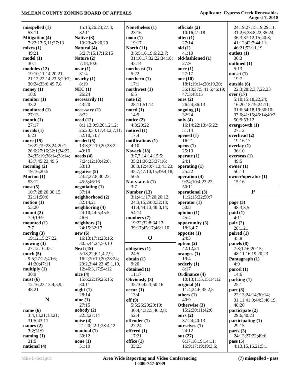| misspelled(1)          | 15:15;26:23;27:3;      | Nonetheless (1)        | officials (2)                           | 24:19;27:15,19;29:11;           |
|------------------------|------------------------|------------------------|-----------------------------------------|---------------------------------|
| 53:11                  | 32:11                  | 23:16                  | 10:16;41:18                             | 31:2,6;33:8,22;35:24;           |
| <b>Mitigation (4)</b>  | Native (3)             | noon(1)                | often $(1)$                             | 36:3;37:12,15;40:8;             |
| 7:22;13:6,11;27:13     | 10:23;49:20,20         | 19:17                  | 27:14                                   | 41:12;42:7;44:11;               |
| mixes(1)               | Natural (4)            | North $(11)$           | old(1)                                  | 46:21;53:11,19                  |
| 49:21                  | 5:2;7:15,17;16:15      | 3:5;5:16,19;6:2,2,7;   | 41:10                                   | outlets $(1)$                   |
|                        |                        |                        | old-fashioned (1)                       | 36:3                            |
| model(1)               | Nature (2)             | 31:16,17;32:22;34:18;  |                                         |                                 |
| 30:1                   | 7:18;10:6              | 43:14                  | 27:9                                    | outlined (1)                    |
| modules (12)           | near(1)                | northeast $(1)$        | once $(1)$                              | 5:13                            |
| 19:10,11,14;20:21;     | 31:4                   | 5:22                   | 27:17                                   | outset $(1)$                    |
| 21:12;22:14;23:5;29:7; | nearby (1)             | northern $(1)$         | one (10)                                | 19:7                            |
| 30:24;33:6;49:7,8      | 8:19                   | 17:1                   | 18:1;19:14;20:19,20;                    | outside (6)                     |
|                        |                        | northwest (1)          |                                         |                                 |
| money $(1)$            | NEC(1)                 |                        | 36:18;37:5;41:5;46:19;                  | 22:3;28:2,3,7,22,23             |
| 18:6                   | 26:24                  | 6:5                    | 47:3;48:15                              | over $(17)$                     |
| monitor $(1)$          | necessarily (1)        | note $(2)$             | ones $(2)$                              | 5:10;15:18,22,24;               |
| 33:2                   | 43:20                  | 28:11;51:14            | 26:24;36:13                             | 16:20;18:19;24:11;              |
| monitored (1)          | necessary(1)           | noted(1)               | ongoing $(1)$                           | 31:6;34:18,19;36:10;            |
| 27:13                  | 8:22                   | 14:9                   | 32:24                                   | 37:6;41:15;46:14;49:3;          |
|                        | need $(12)$            |                        |                                         | 50:9;53:12                      |
| month(1)               |                        | notice $(2)$           | only $(4)$                              |                                 |
| 27:17                  | 8:1,13;9:9,20;12:12;   | 4:8;20:22              | 16:14;22:13;45:22;                      | overgrowth (1)                  |
| morals $(1)$           | 26:20:30:17:43:2,7,11; | noticed $(1)$          | 51:14                                   | 27:12                           |
| 6:23                   | 52:10;53:7             | 17:4                   | opened $(1)$                            | overhead (2)                    |
| more $(15)$            | needed $(5)$           | notifications (1)      | 16:21                                   | 19:16,17                        |
| 16:22;19:23,24;20:1;   | 13:3;32:19,20;33:2;    | 4:10                   | opens $(1)$                             | overlay $(1)$                   |
|                        | 49:10                  | Novack (18)            | 25:13                                   | 36:10                           |
| 26:6;27:16;32:1;34:22, |                        |                        |                                         |                                 |
| 24;35:19;36:14;38:14;  | needs(4)               | 3:7,7;14:14;15:5;      | operate $(1)$                           | overseas $(1)$                  |
| 43:7;45:23;49:5        | 7:24;12:10;42:6;       | 35:21;36:23;37:16;     | 24:1                                    | 49:5                            |
| morning $(2)$          | 53:13                  | 38:3,12;40:7,13;41:23; | operating $(1)$                         | owner $(1)$                     |
| 19:16;20:5             | negative $(5)$         | 45:7;47:10,15;49:4,18; | 25:22                                   | 50:11                           |
| Morton $(1)$           | 24:2;27:8;30:23;       | 50:5                   | operation (4)                           | owner/operator (1)              |
| 53:12                  |                        |                        |                                         |                                 |
|                        | 45:5;46:16             | $N-0-v-a-c-k(1)$       | 9:24;10:4;23:22;                        | 15:16                           |
|                        |                        |                        |                                         |                                 |
| most(5)                | negotiating $(1)$      | 3:7                    | 50:11                                   |                                 |
| 10:7;28:20;30:15;      | 37:14                  | Number (13)            | operational (3)                         | ${\bf P}$                       |
| 32:11;50:6             |                        | 3:1;4:1;17:20;20:12;   | 11:2;15:22;50:7                         |                                 |
|                        | neighborhood (2)       |                        |                                         |                                 |
| motion(1)              | 32:14,21               | 24:3,15;29:8;32:13;    | operator $(1)$                          | page $(3)$                      |
| 53:20                  | neighboring (4)        | 41:4;44:13;48:3,14;    | 50:8                                    | 48:3,3,5                        |
| mount(2)               | 24:10;44:5;45:5;       | 54:14                  | opinion $(1)$                           | paid(1)                         |
| 7:9;19:9               | 46:6                   | numbers $(7)$          | 45:4                                    | 4:11                            |
| mounted $(1)$          | neighbors (2)          | 19:22;32:8;34:13;      | opportunity (3)                         | pair(2)                         |
| 7:7                    | 24:15;32:17            | 39:17;45:17;46:1,10    | 18:3,4,7                                | 28:1,21                         |
|                        |                        |                        |                                         |                                 |
| moving $(3)$           | new(6)                 |                        | opposite (1)                            | paired (1)                      |
| 19:12,15;27:22         | 16:13;17:1;23:16;      | $\mathbf 0$            | 24:3                                    | 45:8                            |
| mowing $(3)$           | 30:5;44:24;50:10       |                        | option $(2)$                            | panels (8)                      |
| 27:12,16;33:1          | Next $(19)$            | obligates (1)          | 42:12,24                                | 7:8;12:6;20:15;                 |
| much(5)                | 5:18,22;6:1,4,7,9;     | 24:5                   | oranges $(1)$                           | 48:11,16,19,20,23               |
| 9:5;27:22;40:6;        | 16:2;20:19,20;28:24;   | obtain $(1)$           | 19:4                                    | Pantagraph (1)                  |
| 41:20;47:11            | 29:2,3;44:22;45:1,10,  | 9:20                   | orderly $(1)$                           | 4:9                             |
|                        | 12;46:3,17;54:12       |                        | 8:17                                    |                                 |
| multiply $(1)$         |                        | obtained (1)           |                                         | parcel $(1)$                    |
| 30:9                   | nice $(4)$             | 11:17                  | Ordinance (4)                           | 14:6                            |
| must(6)                | 15:6;22:19;25:15;      | Obviously (3)          | 10:13;11:5,15;14:12                     | parking(1)                      |
| 12:16,23;13:4,5,9;     | 30:11                  | 35:10;42:3;50:16       | original (4)                            | 25:1                            |
| 48:21                  | night(1)               | occur(1)               | 11:4;24:6;35:2,5                        | part(8)                         |
|                        | 28:14                  | 13:4                   | others $(1)$                            | 22:13;24:14;30:14;              |
| $\mathbf N$            |                        |                        | 40:9                                    |                                 |
|                        | nine(1)                | off(9)                 |                                         | 31:11;41:9;44:3;46:19;          |
|                        | 27:15                  | 5:5;26:20;29:19;       | Otherwise (3)                           | 48:20                           |
| name $(6)$             | nobody(2)              | 30:4,4;32:5;40:2,8;    | 15:2;30:11;42:6                         | participate (2)                 |
| 3:4,13,21;13:21;       | 22:3;27:14             | 52:4                   | ours $(2)$                              | 29:6;40:23                      |
| 31:5;43:11             | noise $(4)$            | offender (1)           | 37:24;40:13                             | participating $(1)$             |
| names $(2)$            | 21:20;22:1;28:4,12     | 27:24                  | ourselves (1)                           | 29:15                           |
| 3:2;31:9               | nominal(1)             | offered $(1)$          | 24:12                                   | parts $(3)$                     |
|                        |                        |                        |                                         |                                 |
| naming(1)              | 30:12                  | 17:21                  | out (27)                                | 24:13;27:22;49:6                |
| 31:5<br>national (4)   | none $(1)$<br>51:10    | office $(1)$<br>33:23  | 6:17,18,19;14:11;<br>16:9;17:19;19:3,6; | pass $(5)$<br>4:13,15,16,21;5:1 |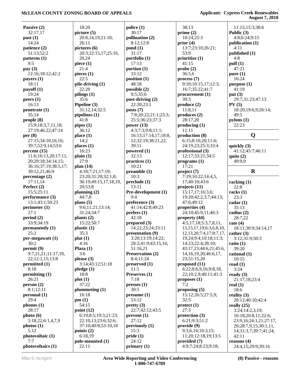|                                |                                             |                      |                                 | --- - - - - - -                                 |
|--------------------------------|---------------------------------------------|----------------------|---------------------------------|-------------------------------------------------|
| Passive (2)                    | 18:20                                       | police(1)            | 38:13                           | 11:15;15:3;38:6                                 |
| 32:17,17                       | picture (5)                                 | 30:17                | prime $(2)$                     | Public $(3)$                                    |
| past(1)                        | 20:8,14,19;21:10;                           | pollination (2)      | 10:24;25:3                      | 4:8;6:24;9:15                                   |
| 14:24                          | 26:11                                       | 8:12;12:8            | prior $(4)$                     | publication (1)                                 |
| patience (2)                   | pictures (6)                                | $\text{pond}(1)$     | 13:7;23:10;26:21;               | 4:11                                            |
| 51:13;52:2                     | 20:3;22:15,17;25:16,                        | 31:17                | 53:9                            | published (1)                                   |
| patterns <sub>(1)</sub>        | 20,24                                       | portfolio (1)        | prioritize $(1)$                | 4:8                                             |
| 9:5                            | piece $(1)$                                 | 17:13                | 41:15                           | pull (1)                                        |
| pay $(3)$                      | 21:4                                        | portion $(1)$        | probe(2)                        | 47:21                                           |
| 12:16;18:12;42:2               | pieces (1)                                  | 33:12                | 36:5,6                          | pure $(1)$                                      |
| payers $(1)$                   | 22:5                                        | position (1)         | process(7)                      | 16:24                                           |
| 18:11                          | pile-driving (1)                            | 48:18                | 9:10;10:15,17;12:3;             | purpose (1)                                     |
| payoff(1)                      | 22:20                                       | possible (2)         | 16:7;35:22;41:7                 | 41:19                                           |
| 19:24                          | pilings $(1)$                               | 9:5;35:6             | procurrent(1)                   | put $(3)$                                       |
| peers(1)                       | 35:6                                        | post-driving (2)     | 39:3                            | 29:7;31:23;47:13                                |
| 16:13                          | Pipeline (3)                                | 22:20;23:1           | produce (2)                     | PV(5)                                           |
| penetrate(1)                   | 31:12,14;32:5                               | posts $(7)$          | 11:8,11                         | 18:20;19:6,9;26:14;                             |
| 35:14                          | pipelines (1)                               | 7:8;20:22;21:1;23:3; | produces(2)                     | 49:5                                            |
| people(8)                      | 41:8                                        | 25:5;36:23;37:3      | 28:17,20                        | pylons(1)                                       |
| 15:9;18:3,7,11,18;             | pipes(1)                                    | power $(13)$         | producing (1)                   | 22:23                                           |
| 27:19:46:22:47:14              | 36:12                                       | 4:3;7:3;9:8;11:1;    | 11:11                           |                                                 |
| per $(8)$                      | place(1)                                    | 16:13;17:14,17;18:8, | production (8)                  | Q                                               |
| 27:15;34:10,16,16;             | 14:2                                        | 12;32:19;38:21,22;   | 6:15;8:10,20;11:6;              |                                                 |
| 39:7;52:9,14;53:6              | places $(1)$                                | 39:11                | 24:19,23;25:3;33:4              | quickly (3)                                     |
| percent (15)                   | 16:23                                       | powered $(1)$        | professional (3)                | 41:12;45:7;46:11                                |
| 11:6;16:13,20;17:11,           | plain(1)                                    | 32:13                | 12:17;33:21;34:5                | quite $(2)$                                     |
| 20;29:18;34:14,15;             | 27:9                                        | practices (1)        | programs(1)                     | 49:9,9                                          |
| 36:16;37:19;38:5,17;           | plan $(14)$                                 | 10:21                | 17:21                           |                                                 |
| 39:12,21;46:9                  | 4:18;7:21;17:19;                            | preamble(1)          | project $(7)$                   | $\mathbf R$                                     |
| percentage $(2)$               | 23:20;31:20;32:1,8;                         | 10:3                 | 7:19;10:22;14:4,5,              |                                                 |
| 17:11,14                       | 36:19;49:15,17,18,19,                       | preclude (1)         | 17;40:10;43:6                   | racking $(1)$                                   |
| Perfect (2)                    | 20;53:8                                     | 13:11                | projects (11)                   | 22:8                                            |
| 15:5;25:11                     | planning $(2)$                              | Pre-development (1)  | 15:17,17;16:3,6;                | racks $(1)$                                     |
| performance (3)                | 44:7,8                                      | 9:4                  | 19:20;42:2,3,7;44:13;           | 23:3                                            |
| 13:1;43:1;50:23                | plans $(5)$                                 | preference $(3)$     | 47:6;49:12                      | radar $(1)$                                     |
| perimeter $(1)$                | 9:6;11:21;13:14;                            | 41:14;42:8;49:23     | properties (4)                  | 35:13                                           |
| 27:1                           | 31:24;34:7                                  | prefers (1)          | 24:10;45:9,11;46:3              | radius $(2)$                                    |
| period(2)                      | plants $(2)$                                | 42:18                | property (44)                   | 28:7,22                                         |
| 33:9;34:19                     | 15:22;50:7                                  | prepared $(3)$       | 4:5,17,18;5:3,7,8,11,           | rate $(4)$                                      |
| permanently (1)                | plastic $(1)$                               | 14:22;23:24;33:11    | 13, 15, 17, 19; 6: 3, 6, 8, 10, | 18:11;30:9;34:14,17                             |
| 25:2                           | 35:3                                        | presentation (9)     | 12, 13, 20; 7: 4, 17; 8: 7, 17, | rather $(3)$                                    |
| per-megawatt (1)               | plat(1)                                     | 3:20;13:19;14:22;    | 19,24;9:4;10:18;11:3;           | 3:12;31:9;50:3                                  |
| 30:2                           | 4:16                                        | 28:2;41:9;43:15,16;  | 14:23;22:4;28:10;               | ratio $(1)$                                     |
| permit(9)                      | Plaza $(1)$                                 | 51:16,21             | 43:17,23;44:6,21;45:6,          | 39:20                                           |
| 9:7,21,21;11:17,19,            | 3:6                                         | Preservation (2)     | 14, 16, 19, 20; 46: 6, 17,      | rational $(1)$                                  |
| 22;12:1,15;13:8                | please $(3)$                                | 8:4;11:24            | 23;51:15,20                     | 10:15                                           |
| permitted (1)                  | 3:14;43:12;51:18                            | preserved (1)        | proposed $(11)$                 | read $(1)$                                      |
| 8:18                           | pledge(1)                                   | 11:1                 | 6:22;8:6,9,16;9:8,18,           | 3:24                                            |
| permitting $(1)$               | 18:8                                        | Preserves (1)        | 22;10:2,9;40:11;41:3            | ready $(3)$                                     |
| 26:21                          | plot(1)                                     | 7:18                 | proposes $(1)$                  | 21:17,18;23:4                                   |
| person(2)                      | 37:22                                       | presses(1)           | 7:2                             | real $(1)$                                      |
| 8:1;12:11                      | plummeting $(1)$                            | 30:5                 | proposing $(5)$                 | 18:6                                            |
| personal (1)                   | 16:18                                       | presume(1)           | 15:12;26:5;27:5,9;              | reality $(3)$                                   |
| 29:4                           | pm(1)                                       | 53:12                | 32:5                            | 20:12;40:10;42:4                                |
| phones $(1)$                   | 54:15                                       | prefty(3)            | $\text{protect} (1)$            | really $(25)$                                   |
| 28:17                          | point $(12)$                                | 22:7;42:12;43:5      | 27:3<br>protection (3)          | 3:24;14:2,3,19;                                 |
| photo(6)                       | 6:19;8:5;19:3;21:23;<br>22:10,13;23:6;32:6; | prevent(1)<br>27:12  | 6:21;9:3;51:2                   | 16:18;20:8,11;22:6;                             |
| 5:18,22;6:1,4,7,9<br>photos(1) | 37:10;40:8;53:10,18                         | previously (1)       | provide(9)                      | 23:9,16;24:1,21;27:17,<br>20;28:7,9,15;30:1,11, |
| 5:12                           | points (2)                                  | 15:3                 | 9:3,6,14;10:3,15;               | 14;31:3,7;39:7;41:24;                           |
| photovoltaic (1)               | 6:18,19                                     | pride(1)             | 11:20;12:18,19;13:5             | 42:11                                           |
| 7:7                            | pole-mounted (1)                            | 24:12                | provided (7)                    | reasons $(4)$                                   |
| photovoltaics (1)              | 22:11                                       | primary $(1)$        | 4:9;7:24;8:23;9:18;             | 24:4,15;29:9;39:16                              |
|                                |                                             |                      |                                 |                                                 |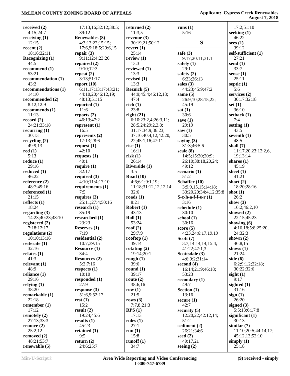| received $(2)$                       | 17:13,16;32:12;38:5;    | returned $(2)$        | runs $(1)$                        | 17:2;51:10                |
|--------------------------------------|-------------------------|-----------------------|-----------------------------------|---------------------------|
| 4:15;24:7                            | 39:12                   | 11:3,5                | 5:16                              | seeking $(1)$             |
| receiving $(1)$                      | <b>Renewables (8)</b>   | revenue $(3)$         |                                   | 46:22                     |
| 12:15                                | 4:3;13:22;15:15;        | 30:19,21;50:12        | S                                 | sees $(1)$                |
| recent $(2)$                         | 17:6,9;18:5;29:6,15     | revert $(1)$          |                                   | 39:12                     |
| 18:16;32:11                          | repair $(3)$            | 25:14                 | safe $(3)$                        | self-sufficient (1)       |
| <b>Recognizing (1)</b>               | 9:11;12:4;23:20         | review $(1)$          | 9:17;20:11;31:1                   | 27:21                     |
| 44:5                                 | repaired $(2)$          | 13:3                  | safely $(1)$                      | send $(1)$                |
| recommend (1)                        | 9:10:12:3               | reviewed (1)          | 29:1                              | 33:7                      |
| 53:21                                | repeat $(2)$            | 13:3                  | safety $(2)$                      | sense $(1)$               |
| recommendation (1)                   | 3:13;51:17              | revised $(1)$         | 6:23;26:13                        | 25:11                     |
| 43:2                                 | report $(10)$           | 13:3                  | sales $(3)$                       | septic $(1)$              |
| recommendations (1)                  | 6:11,17;13:17;43:21;    | Reznick (5)           | 44:23;45:9;47:2                   | 5:6                       |
| 14:10                                | 44:10,20;46:12,19;      | 44:9;45:4;46:12,18;   | same $(5)$                        | services $(2)$            |
| recommended (2)                      | 48:13;51:15             | 47:4                  | 26:9,10;28:15,22;                 | 30:17;32:18               |
| 8:12;12:9                            | reported $(1)$          | rich(1)               | 45:19                             | set $(1)$                 |
| recommends (1)                       | 11:6                    | 23:8                  | sat(1)                            | 36:10                     |
| 11:13                                | reports $(2)$           | right $(21)$          | 30:6                              | setback $(1)$             |
| record $(2)$                         | 46:13;47:2              | 6:10;23:2,4;26:3,11;  | save $(1)$                        | 7:4                       |
| 24:21;33:18                          | represent $(1)$         | 28:5,24;29:2,3,8;     | 29:19                             | setting $(1)$             |
| recurring $(1)$                      | 16:5                    | 31:17;34:9;36:23;     | saw $(1)$                         | 43:5                      |
| 30:13                                | represents $(2)$        | 37:16;40:4,12;42:20,  | 30:5                              | seventh $(1)$             |
| recycling $(2)$                      | 17:13;28:6              | 22;45:1,16;47:11      | saying $(3)$                      | 48:5                      |
| 49:9,13                              | request $(1)$           | rise $(1)$            | 31:3;46:5,6                       | shall $(7)$               |
| red(1)                               | 42:10                   | 16:11                 | scale(8)                          | 11:17,20,23;12:2,6,       |
| 5:13                                 | requests $(1)$          | risk(1)               | 14:5;15:20;20:9;                  | 19;13:14                  |
| reduce $(1)$                         | 40:1                    | 26:14                 | 26:10;38:18,20,24;                | shares $(1)$              |
| 29:16                                | require $(1)$           | Riverside (1)         | 49:12                             | 45:19                     |
| reduced $(1)$                        | 32:17                   | 3:5                   | scenario (1)                      | sheet $(1)$               |
| 46:22                                | required $(3)$          | Road $(10)$           | 51:2                              | 41:21                     |
| reference $(2)$                      | 4:10;11:4;17:10         | 4:6;6:1;9:1,19;       | Schaffer (10)                     | short $(2)$               |
| 48:7;49:16                           | requirements $(1)$      | 11:18;31:12,12,12,14; | 3:9,9,15,15;14:18;                | 18:20;28:16               |
| referenced (1)                       | 7:5                     | 32:6                  | 33:20,20;34:4,12;35:8             | shot $(1)$                |
| 21:15                                | requires $(3)$          | roads $(1)$           | $S$ -c-h-a-f-f-e-r $(1)$          | 26:2                      |
| reflects $(1)$                       | 25:11;27:4;50:16        | 8:21                  | 3:16                              | show $(3)$                |
| 18:24                                | research $(1)$          | Robert $(1)$          | schedule (1)                      | 16:2;46:2,10              |
| regarding $(3)$<br>14:23:40:23:48:10 | 35:19                   | 43:13                 | 30:10                             | showed (2)<br>22:15;45:23 |
| registered (2)                       | researched (1)<br>23:23 | Roll(1)<br>53:24      | school $(1)$<br>30:16             | showing (6)               |
| 7:18;12:17                           | Reserves $(1)$          | $\text{root}(2)$      |                                   | 4:16,18;5:8;25:20,        |
| regulations (2)                      | 7:19                    | 29:7,9                | score $(5)$<br>4:23,24;6:17,19,19 | 24;32:3                   |
| 10:10:13:16                          | residential (2)         | rooftop $(1)$         | Scott $(7)$                       | shown $(2)$               |
| reiterate $(1)$                      | 10:7;39:15              | 39:14                 | 3:7;14:14,14;15:4;                | 46:8,15                   |
| 32:16                                | <b>Resource (1)</b>     | rotating $(2)$        | 41:22;47:1,3                      | shows $(1)$               |
| relates $(1)$                        | 34:4                    | 19:14;20:1            | Scottsdale (3)                    | 21:24                     |
| 41:3                                 | <b>Resources (2)</b>    | rough $(1)$           | 4:6;9:2;31:14                     | side $(6)$                |
| relevant $(1)$                       | 5:2;7:16                | 39:6                  | second $(4)$                      | 6:2;9:1,2;22:18;          |
| 48:9                                 | respects $(1)$          | round $(1)$           | 16:14;21:9;46:18;                 | 30:22;32:6                |
| reliance $(1)$                       | 10:10                   | 39:17                 | 53:23                             | sight $(1)$               |
| 29:16                                | responded (1)           | route $(2)$           | secondary $(1)$                   | 9:17                      |
| relying $(1)$                        | 27:9                    | 38:6,16               | 49:7                              | sighted $(1)$             |
| 38:20                                | response $(3)$          | row $(1)$             | Section $(1)$                     | 31:16                     |
| remarkable (1)                       | 51:6,9;52:17            | 21:5                  | 13:16                             | sign(1)                   |
| 22:18                                | rest(1)                 | rows $(3)$            | secure $(1)$                      | 26:20                     |
| remember $(1)$                       | 15:2                    | 7:7,8;21:3            | 42:7                              | signed $(3)$              |
| 17:12                                | result $(2)$            | RPS(1)                | security $(5)$                    | 5:5;13:6;17:8             |
| remotely $(2)$                       | 19:24;45:6              | 17:13                 | 12:20,22;42:12,14;                | significant $(1)$         |
| 27:13;33:3                           | results $(1)$           | rules $(1)$           | 51:2                              | 30:13                     |
| remove(2)                            | 45:23                   | 27:1                  | sediment $(2)$                    | similar $(7)$             |
| 25:2,12                              | retained $(1)$          | run $(1)$             | 26:21;34:6                        | 11:10;20:5;44:14,17;      |
| removed $(2)$                        | 9:5                     | 15:8                  | seed $(2)$                        | 45:12,13;52:10            |
| 48:21;53:7                           | return $(2)$            | runoff $(1)$          | 49:17,21                          | simply $(1)$              |
| renewable $(5)$                      | 24:6;25:7               | 34:7                  | seeing $(2)$                      | 25:18                     |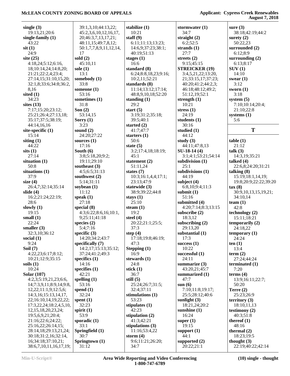| single $(3)$            | 39:1,3,10;44:13,22;      | stabilize (1)          | stormwater $(1)$                 | sure $(3)$               |
|-------------------------|--------------------------|------------------------|----------------------------------|--------------------------|
| 19:13,21;20:6           | 45:2,3,6,10,12,16,17,    | 10:21                  | 34:7                             | 38:18;42:19;44:2         |
| single-family $(1)$     | 20;46:3,7,13,17,21;      | staff $(9)$            | straight $(2)$                   | surety $(2)$             |
| 43:22                   | 48:11,15;49:7,8,12;      | 6:11;11:13;13:23;      | 6:2;52:5                         | 50:22,23                 |
| $s$ it $(1)$            | 50:1,7,7,8,9,11,12,14,   | 14:6,9;37:23;38:1;     | strands $(1)$                    | surrounded (2)           |
| 24:9                    | 17                       | 40:19:51:13            | 27:7                             | 6:12;8:9                 |
| site $(25)$             | sold $(2)$               | stages $(1)$           | streets $(2)$                    | surrounding $(2)$        |
| 4:18,24;5:12;6:16,      | 45:10,11                 | 16:6                   | 9:15;45:15                       | 6:13;8:17                |
| 18;10:14,24;14:8,20;    | sole $(1)$               | standard (8)           | <b>STREICKER (19)</b>            | SUV(1)                   |
| 21:21;22:2,4;23:4;      | 13:1                     | 6:24;8:8,18,23;9:16;   | 3:4,5,21,22;13:20,               | 14:10                    |
| 27:14,15;31:10,15,20;   | somebody (1)             | 10:2,11;52:21          | 21;33:15,17;37:23;               | swear $(1)$              |
| 32:1,8;33:6;34:8;36:2,  | 33:8                     | standards (8)          | 40:20;41:2;44:2,3;               | 3:12                     |
| 8,16                    | someone $(1)$            | 11:14;13:12;17:14;     | 46:18;48:12;49:2;                | sworn $(1)$              |
| sited $(1)$<br>34:23    | 53:16<br>sometimes (1)   | 48:8,9,10,18;52:20     | 51:12,19;52:1                    | 3:18<br>system $(5)$     |
| sites $(13)$            | 31:8                     | standing $(1)$<br>29:2 | strength $(1)$<br>10:21          | 7:10;10:14;20:4;         |
| 7:17;15:20;23:12;       | Son $(2)$                | start $(5)$            | stress $(1)$                     | 21:10;22:8               |
| 25:21;26:4;27:13,18;    | 53:14,15                 | 3:19;31:2;35:18;       | 24:19                            | systems $(1)$            |
| 35:17;37:5;38:19;       | Sorry $(1)$              | 39:5;40:1              | students (1)                     | 5:6                      |
| 44:14,16,16             | 3:23                     | started $(2)$          | 30:16                            |                          |
| site-specific $(1)$     | sound $(2)$              | 41:7;47:7              | studied $(1)$                    | T                        |
| 15:14                   | 24:20;27:22              | starters $(1)$         | 44:12                            |                          |
| siting $(1)$            | sources $(1)$            | 50:6                   | study $(3)$                      | table(1)                 |
| 44:22                   | 17:16                    | state $(5)$            | 44:11;47:8,13                    | 21:12                    |
| sits(1)                 | South $(6)$              | 3:2;17:4,18;18:19;     | $SU-18-14(4)$                    | talk (3)                 |
| 27:14                   | 3:8;5:18,20;9:2;         | 45:1                   | 3:1;4:1;53:21;54:14              | 14:3,19;35:21            |
| situation $(1)$         | 19:11;29:10              | statement $(2)$        | subdivision (1)                  | talked (4)               |
| 50:8                    | southeast $(3)$          | 51:11,24               | 25:1                             | 22:6,8;24:20;31:21       |
| situations (1)          | 4:5;6:5;31:13            | states $(7)$           | subdivisions (1)                 | talking $(8)$            |
| 37:9                    | southwest (2)            | 10:3;16:1,4,4;17:1;    | 44:19                            | 15:19;18:1,14,19;        |
| size $(4)$              | 5:14;31:11               | 23:13;47:9             | subject $(4)$                    | 19:8;20:9;22:22;39:20    |
| 26:4,7;32:14;35:14      | soybean $(1)$            | statewide (3)          | 6:8,10;9:4;11:3                  | tax(8)                   |
| slide $(4)$             | 11:12                    | 38:9;39:22;44:8        | submit $(1)$                     | 30:9,10,13,15,19,21;     |
| 16:2;21:24;22:19;       | speak $(1)$              | stays $(1)$            | 51:16                            | 34:10,14                 |
| 28:6                    | 27:18                    | 25:10                  | submitted (4)                    | team $(1)$               |
| slowly $(1)$            | special $(8)$            | steam $(1)$            | 4:20;7:14;8:3;13:15              | 42:8                     |
| 19:15                   | 4:3;6:22;8:6,16;10:1,    | 19:2                   | subscribe $(2)$                  | technology (2)           |
| small $(1)$             | 9;25:11;41:18            | steel $(4)$            | 18:3,12                          | 15:11;18:21              |
| 22:24                   | species $(2)$            | 20:22;21:1;25:5;       | subscribing $(2)$                | temporarily $(2)$        |
| smaller $(3)$           | 5:4;7:16                 | 37:3                   | 29:13,20                         | 24:18,22                 |
| 32:3,10;36:12           | specific $(3)$           | step $(4)$             | substantial (1)                  | temporary (1)            |
| social $(1)$            | 14:20;34:2;43:7          | 17:18;19:8;46:19;      | 17:3                             | 24:24                    |
| 9:24                    | specifically (7)         | 47:3                   | success $(1)$                    | ten(1)                   |
| Soil $(7)$              | 14:2,17;15:13;35:12;     | Stepping (1)           | 10:22                            | 13:4                     |
| 4:22,23;6:17;8:12;      | 37:24;41:2;49:3          | 16:9                   | successful (1)                   | term $(2)$               |
| 10:21;12:9;35:15        | specifics $(1)$          | stewards (1)           | 24:11                            | 27:24;44:24              |
| soils $(1)$<br>10:24    | 14:16<br>specifies $(1)$ | 24:8<br>stick $(1)$    | summarize $(3)$<br>43:20,21;45:7 | terminated $(1)$<br>7:20 |
| <b>Solar</b> (107)      | 42:21                    | 36:7                   | summarized (1)                   | terms $(4)$              |
| 4:2,3;5:19,21,23;6:6,   | spelling $(1)$           | still $(5)$            | 47:7                             | 13:9;16:11;22:7;         |
| 14,7:3,9,11,8:9,14,9:8, | 53:16                    | 25:24;26:7;31:5;       | sum(6)                           | 50:20                    |
| 12,22;11:1,9;12:5,6;    | spend $(1)$              | 32:4;37:11             | 7:10;11:8;19:17;                 | Terre $(2)$              |
| 14:3,16;15:13,14,17,    | 32:24                    | stimulations (1)       | 25:5;28:12;40:6                  | 25:23;26:9               |
| 22;16:10,14,19,22,22;   | spent $(1)$              | 53:23                  | sunlight $(3)$                   | territory $(3)$          |
| 17:3,22,24;18:2,4,5,10, | 32:23                    | stipulates $(1)$       | 18:21,24;20:2                    | 18:10,11,13              |
| 12, 15, 18, 20, 23, 24; | spirit $(1)$             | 42:23                  | sunshine $(1)$                   | testimony $(2)$          |
| 19:5,6,9,21;20:4;       | 53:9                     | stipulation $(2)$      | 16:24                            | 40:3;51:8                |
| 21:16;22:6;24:22;       | sporadic $(1)$           | 41:3;42:21             | super $(1)$                      | thereof $(1)$            |
| 25:16,22;26:14,15;      | 33:1                     | stipulations $(3)$     | 19:15                            | 48:16                    |
| 28:14,18;29:13,21,24;   | Springfield (1)          | 11:16;53:4,22          | support $(1)$                    | thermal $(2)$            |
| 30:18;31:2,16;32:14,    | 30:7                     | storm $(4)$            | 44:1                             | 18:23;19:5               |
| 16;34:18;37:10,21;      | Springtown (1)           | 9:6;11:21;26:20;       | supported $(2)$                  | thought $(3)$            |
| 38:6,7,10,11,16,17,19;  | 31:12                    | 34:7                   | 20:22;21:1                       | 22:19;40:22;42:14        |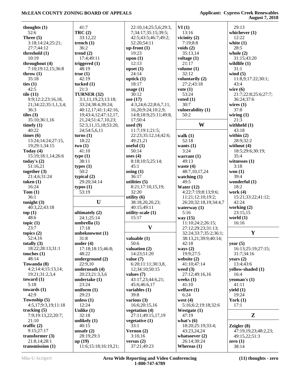| thoughts $(1)$                     | 41:7                           | 22:10,14;25:5,6;29:3,       | VI(1)                         | 29:13                |
|------------------------------------|--------------------------------|-----------------------------|-------------------------------|----------------------|
| 52:6                               | TRC(2)                         | 7;34:17;35:15;39:5;         | 13:16                         | whichever $(1)$      |
| Three $(5)$                        | 33:12,22                       | 42:5;43:5;46:7;49:2;        | vicinity $(2)$                | 12:22                |
| 3:18;14:24;25:21;                  | trench $(1)$                   | 52:20;54:11                 | 7:19;8:8                      | white $(1)$          |
| 27:7;44:12                         | 36:2                           | $up$ -front $(1)$           | voids $(2)$                   | 28:5                 |
| threshold $(1)$                    | trend $(2)$                    | 19:23                       | 35:13,14                      | whole $(2)$          |
|                                    |                                |                             |                               |                      |
| 10:19                              | 17:4;49:11                     | upon $(1)$                  | voltage $(1)$                 | 31:15;43:20          |
| throughout (4)                     | triggered $(1)$                | 12:13                       | 21:17                         | wildlife $(1)$       |
| 7:10;19:12,15;36:8                 | 48:19                          | upset $(1)$                 | volume $(1)$                  | 31:1                 |
| throw $(1)$                        | true(1)                        | 24:14                       | 32:12                         | wind $(5)$           |
| 35:18                              | 42:19                          | uptick $(1)$                | voluntarily (2)               | 11:8,9;17:22;30:1;   |
| ties $(1)$                         | tucked $(1)$                   | 18:17                       | 27:2;43:18                    | 43:4                 |
| 42:5                               | 21:3                           | usage $(1)$                 | $\mathbf{vote}\left(1\right)$ | wire $(6)$           |
| tile $(11)$                        | TURNER (32)                    | 30:12                       | 53:24                         | 21:7;22:8;25:6;27:7; |
| 9:9;12:2;23:16,18,                 | 3:1,11,19,23;13:18;            | use $(17)$                  | voted $(1)$                   | 36:24;37:6           |
| 21;34:22;35:1,1,3,4;               | 33:24;38:4;39:24;              | 4:3,24;6:22;8:6,7,11,       | 30:7                          | wires $(1)$          |
| 36:3                               | 40:12,17;41:1;42:16,           | 16,20;9:24;10:2,9;          | vulnerability (1)             | 37:8                 |
| tiles $(3)$                        | 19;43:4,12;47:12,17,           | 14:8;18:9;25:11;49:8,       | 50:2                          | wiring $(1)$         |
| 35:10;36:1,16                      |                                |                             |                               | 21:3                 |
|                                    | 21, 24; 51: 4, 7, 10, 23;      | 17;50:4                     | W                             |                      |
| timely $(1)$                       | 52:3,11,15,18;53:20,           | used $(9)$                  |                               | withheld $(1)$       |
| 40:22                              | 24;54:5,6,11                   | 11:7;19:1;21:5;             |                               | 43:18                |
| times $(6)$                        | turns(1)                       | 22:23;35:12,14;42:6;        | walk $(1)$                    | within $(2)$         |
| 13:24;14:24;27:15,                 | 18:22                          | 49:21,21                    | 52:18                         | 28:9;32:2            |
| 19;29:1;34:15                      | two(1)                         | useful $(1)$                | wants $(1)$                   | without (4)          |
| Today $(4)$                        | 41:10                          | 50:14                       | 3:24                          | 18:5;29:6;30:19;     |
| 15:19;18:1,14;26:6                 | type(1)                        | uses $(4)$                  | warrant $(1)$                 | 35:4                 |
| today's $(2)$                      | 38:11                          | 8:18;10:5;25:14;            | 49:13                         | witnesses $(1)$      |
| 51:16,21                           | types $(1)$                    | 45:1                        | waste $(4)$                   | 3:18                 |
| together $(3)$                     | 50:2                           | using $(1)$                 | 48:7,10,17,24                 | won $(1)$            |
| 21:4,6;31:24                       | typical (2)                    | 36:17                       | watching $(1)$                | 39:4                 |
|                                    | 29:20;34:14                    | utilities $(5)$             | 49:5                          |                      |
| token $(1)$                        |                                |                             |                               | wonderful $(1)$      |
| 16:24                              | typos(1)                       | 8:21;17:10,15,19;           | Water $(12)$                  | 18:2                 |
| Tom(1)                             | 53:19                          | 32:20                       | 4:22;7:19;8:13;9:6;           | work $(4)$           |
| 36:1                               |                                |                             |                               |                      |
|                                    |                                | utility $(6)$               | 11:21;12:10;19:2;             | 15:21;33:22;41:12;   |
| tonight $(3)$                      | $\mathbf U$                    | 38:18,20,20,23;             | 26:20;32:18,19;34:4,7         | 42:24                |
| 40:3,22;43:18                      |                                | 40:15;49:11                 | waterway $(1)$                | working (2)          |
| top(1)                             | ultimately (2)                 | utility-scale (1)           | 5:16                          | 23:15,15             |
| 48:6                               | 24:1;25:14                     | 15:17                       | way $(15)$                    |                      |
|                                    |                                |                             |                               | world $(1)$          |
| topic $(1)$                        | umbrella (1)                   |                             | 11:10;24:2;26:15;             | 16:16                |
| 23:7                               | 17:18                          | $\boldsymbol{\mathrm{V}}$   | 27:12;29:23;31:13;            |                      |
| topics $(2)$                       | unbeknownst (1)                |                             | 32:24;33:7;35:2;36:1;         | $\mathbf Y$          |
| 52:4,16                            | 31:8                           | valuable $(1)$              | 38:13,21;39:9;40:14;          |                      |
| totally $(3)$                      | under $(4)$                    | 50:6                        | 42:18                         | year $(5)$           |
| 18:22;28:13;31:1                   | 17:18;18:15;46:8;              | valuation $(2)$             | ways $(2)$                    | 16:13;25:19;27:15;   |
| touches $(1)$                      | 48:22                          | 14:23;51:20                 | 19:9;27:5                     | 31:7;34:16           |
| 48:14                              | underground (2)                | value $(7)$                 | website (2)                   | years $(2)$          |
| Towanda (8)                        | 22:9,10                        | 6:20;11:11;30:3,8,          | 41:10;47:14                   | 13:4;43:6            |
| 4:2;14:4;15:13,14;                 | underneath (4)                 | 12;34:10;50:15              | weed $(3)$                    | yellow-shaded (1)    |
| 19:21;31:2,3,4                     | 20:23;21:3,3,6                 | values $(7)$                | 27:12;49:16,16                | 16:4                 |
| toward $(1)$                       | undertake (1)                  | 43:17,23;44:6,21;           | weeks $(1)$                   | yeoman's $(1)$       |
| 5:18                               | 23:24                          | 45:6;46:6,17                | 41:10                         | 41:11                |
| towards $(1)$                      | uniform $(1)$                  | variables $(1)$             | welfare $(1)$                 | yield $(1)$          |
| 42:9                               | 29:23                          | 39:8                        | 6:24                          | 19:24                |
|                                    |                                |                             |                               |                      |
| Township (5)                       | unless $(1)$                   | various $(3)$               | west $(4)$                    | York $(1)$           |
| 4:5,17;9:3,19;11:18                | 12:24                          | 16:6;20:15,16               | 5:16;6:2;19:18;32:6           | 17:1                 |
| tracking $(5)$                     | Unlike $(1)$                   | vegetation (4)              | Westgate $(1)$                |                      |
| 7:9;19:13,22;20:7;                 | 32:18                          | 27:11;49:15,17,19           | 47:19                         | $\mathbf{Z}$         |
| 21:10                              | unlikely $(1)$                 | vegetative (1)              | what's $(6)$                  |                      |
| traffic $(2)$                      | 40:15                          | 33:1                        | 18:20;25:19;33:4;             | Zeigler $(8)$        |
| 9:15;27:17                         | unsafe $(2)$                   | Vernon $(2)$                | 43:23,24,24                   | 47:19,19,23;48:2,23; |
| transformer $(3)$                  | 28:19;29:3                     | 3:10,16                     | whatsoever $(2)$              | 49:15,22;51:3        |
| 21:8,14;28:1<br>transmission $(1)$ | up(19)<br>11:6;15:18;16:19,21; | versus $(2)$<br>37:21;49:23 | 26:14;30:24<br>Whereas $(1)$  | zero $(1)$<br>38:14  |